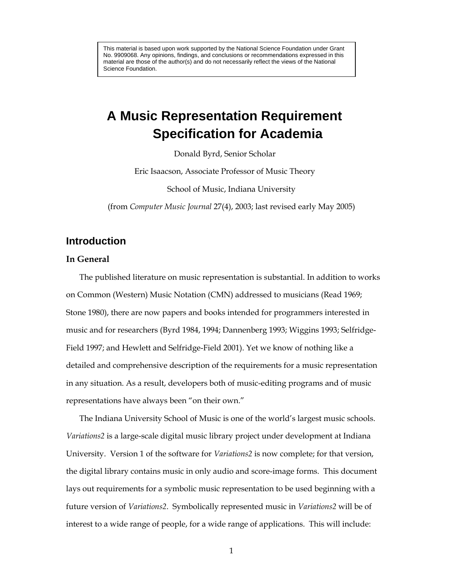This material is based upon work supported by the National Science Foundation under Grant No. 9909068. Any opinions, findings, and conclusions or recommendations expressed in this material are those of the author(s) and do not necessarily reflect the views of the National Science Foundation.

# **A Music Representation Requirement Specification for Academia**

Donald Byrd, Senior Scholar

Eric Isaacson, Associate Professor of Music Theory

School of Music, Indiana University

(from *Computer Music Journal* 27(4), 2003; last revised early May 2005)

### **Introduction**

#### **In General**

The published literature on music representation is substantial. In addition to works on Common (Western) Music Notation (CMN) addressed to musicians (Read 1969; Stone 1980), there are now papers and books intended for programmers interested in music and for researchers (Byrd 1984, 1994; Dannenberg 1993; Wiggins 1993; Selfridge-Field 1997; and Hewlett and Selfridge-Field 2001). Yet we know of nothing like a detailed and comprehensive description of the requirements for a music representation in any situation. As a result, developers both of music-editing programs and of music representations have always been "on their own."

The Indiana University School of Music is one of the world's largest music schools. *Variations2* is a large-scale digital music library project under development at Indiana University. Version 1 of the software for *Variations2* is now complete; for that version, the digital library contains music in only audio and score-image forms. This document lays out requirements for a symbolic music representation to be used beginning with a future version of *Variations2*. Symbolically represented music in *Variations2* will be of interest to a wide range of people, for a wide range of applications. This will include: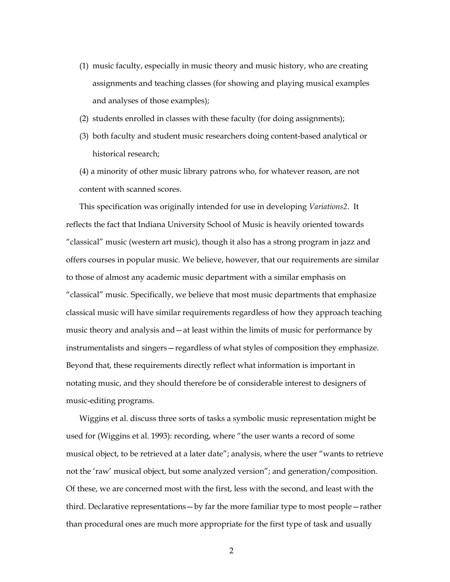- (1) music faculty, especially in music theory and music history, who are creating assignments and teaching classes (for showing and playing musical examples and analyses of those examples);
- (2) students enrolled in classes with these faculty (for doing assignments);
- (3) both faculty and student music researchers doing content-based analytical or historical research;
- (4) a minority of other music library patrons who, for whatever reason, are not content with scanned scores.

This specification was originally intended for use in developing *Variations2*. It reflects the fact that Indiana University School of Music is heavily oriented towards "classical" music (western art music), though it also has a strong program in jazz and offers courses in popular music. We believe, however, that our requirements are similar to those of almost any academic music department with a similar emphasis on "classical" music. Specifically, we believe that most music departments that emphasize classical music will have similar requirements regardless of how they approach teaching music theory and analysis and—at least within the limits of music for performance by instrumentalists and singers—regardless of what styles of composition they emphasize. Beyond that, these requirements directly reflect what information is important in notating music, and they should therefore be of considerable interest to designers of music-editing programs.

Wiggins et al. discuss three sorts of tasks a symbolic music representation might be used for (Wiggins et al. 1993): recording, where "the user wants a record of some musical object, to be retrieved at a later date"; analysis, where the user "wants to retrieve not the 'raw' musical object, but some analyzed version"; and generation/composition. Of these, we are concerned most with the first, less with the second, and least with the third. Declarative representations—by far the more familiar type to most people—rather than procedural ones are much more appropriate for the first type of task and usually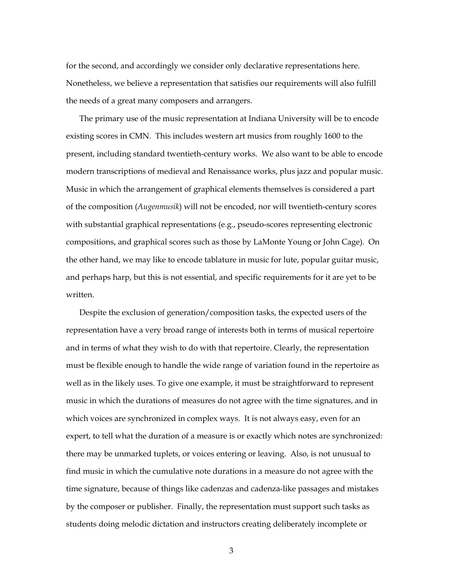for the second, and accordingly we consider only declarative representations here. Nonetheless, we believe a representation that satisfies our requirements will also fulfill the needs of a great many composers and arrangers.

The primary use of the music representation at Indiana University will be to encode existing scores in CMN. This includes western art musics from roughly 1600 to the present, including standard twentieth-century works. We also want to be able to encode modern transcriptions of medieval and Renaissance works, plus jazz and popular music. Music in which the arrangement of graphical elements themselves is considered a part of the composition (*Augenmusik*) will not be encoded, nor will twentieth-century scores with substantial graphical representations (e.g., pseudo-scores representing electronic compositions, and graphical scores such as those by LaMonte Young or John Cage). On the other hand, we may like to encode tablature in music for lute, popular guitar music, and perhaps harp, but this is not essential, and specific requirements for it are yet to be written.

Despite the exclusion of generation/composition tasks, the expected users of the representation have a very broad range of interests both in terms of musical repertoire and in terms of what they wish to do with that repertoire. Clearly, the representation must be flexible enough to handle the wide range of variation found in the repertoire as well as in the likely uses. To give one example, it must be straightforward to represent music in which the durations of measures do not agree with the time signatures, and in which voices are synchronized in complex ways. It is not always easy, even for an expert, to tell what the duration of a measure is or exactly which notes are synchronized: there may be unmarked tuplets, or voices entering or leaving. Also, is not unusual to find music in which the cumulative note durations in a measure do not agree with the time signature, because of things like cadenzas and cadenza-like passages and mistakes by the composer or publisher. Finally, the representation must support such tasks as students doing melodic dictation and instructors creating deliberately incomplete or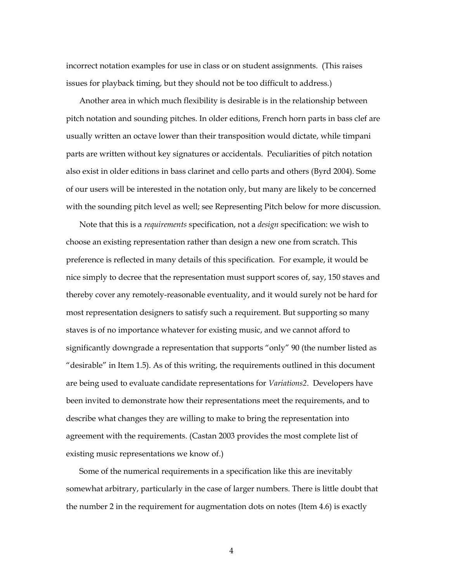incorrect notation examples for use in class or on student assignments. (This raises issues for playback timing, but they should not be too difficult to address.)

Another area in which much flexibility is desirable is in the relationship between pitch notation and sounding pitches. In older editions, French horn parts in bass clef are usually written an octave lower than their transposition would dictate, while timpani parts are written without key signatures or accidentals. Peculiarities of pitch notation also exist in older editions in bass clarinet and cello parts and others (Byrd 2004). Some of our users will be interested in the notation only, but many are likely to be concerned with the sounding pitch level as well; see Representing Pitch below for more discussion.

Note that this is a *requirements* specification, not a *design* specification: we wish to choose an existing representation rather than design a new one from scratch. This preference is reflected in many details of this specification. For example, it would be nice simply to decree that the representation must support scores of, say, 150 staves and thereby cover any remotely-reasonable eventuality, and it would surely not be hard for most representation designers to satisfy such a requirement. But supporting so many staves is of no importance whatever for existing music, and we cannot afford to significantly downgrade a representation that supports "only" 90 (the number listed as "desirable" in Item 1.5). As of this writing, the requirements outlined in this document are being used to evaluate candidate representations for *Variations2*. Developers have been invited to demonstrate how their representations meet the requirements, and to describe what changes they are willing to make to bring the representation into agreement with the requirements. (Castan 2003 provides the most complete list of existing music representations we know of.)

Some of the numerical requirements in a specification like this are inevitably somewhat arbitrary, particularly in the case of larger numbers. There is little doubt that the number 2 in the requirement for augmentation dots on notes (Item 4.6) is exactly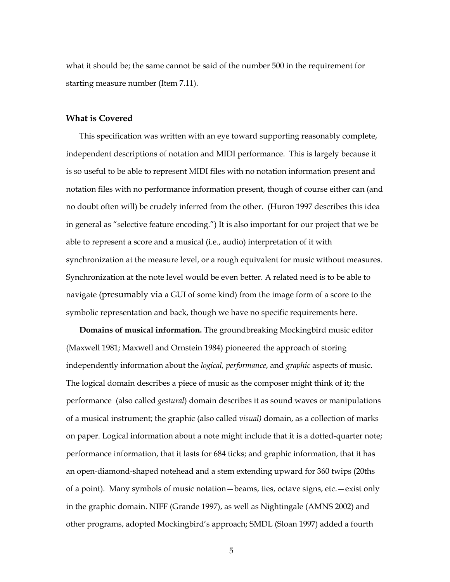what it should be; the same cannot be said of the number 500 in the requirement for starting measure number (Item 7.11).

#### **What is Covered**

This specification was written with an eye toward supporting reasonably complete, independent descriptions of notation and MIDI performance. This is largely because it is so useful to be able to represent MIDI files with no notation information present and notation files with no performance information present, though of course either can (and no doubt often will) be crudely inferred from the other. (Huron 1997 describes this idea in general as "selective feature encoding.") It is also important for our project that we be able to represent a score and a musical (i.e., audio) interpretation of it with synchronization at the measure level, or a rough equivalent for music without measures. Synchronization at the note level would be even better. A related need is to be able to navigate (presumably via a GUI of some kind) from the image form of a score to the symbolic representation and back, though we have no specific requirements here.

**Domains of musical information.** The groundbreaking Mockingbird music editor (Maxwell 1981; Maxwell and Ornstein 1984) pioneered the approach of storing independently information about the *logical, performance*, and *graphic* aspects of music. The logical domain describes a piece of music as the composer might think of it; the performance (also called *gestural*) domain describes it as sound waves or manipulations of a musical instrument; the graphic (also called *visual)* domain, as a collection of marks on paper. Logical information about a note might include that it is a dotted-quarter note; performance information, that it lasts for 684 ticks; and graphic information, that it has an open-diamond-shaped notehead and a stem extending upward for 360 twips (20ths of a point). Many symbols of music notation—beams, ties, octave signs, etc.—exist only in the graphic domain. NIFF (Grande 1997), as well as Nightingale (AMNS 2002) and other programs, adopted Mockingbird's approach; SMDL (Sloan 1997) added a fourth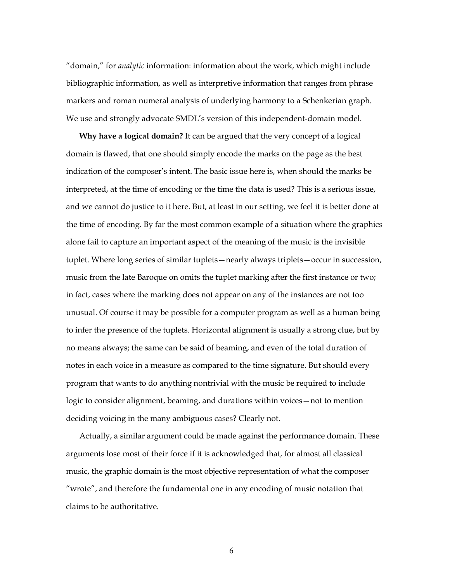"domain," for *analytic* information: information about the work, which might include bibliographic information, as well as interpretive information that ranges from phrase markers and roman numeral analysis of underlying harmony to a Schenkerian graph. We use and strongly advocate SMDL's version of this independent-domain model.

**Why have a logical domain?** It can be argued that the very concept of a logical domain is flawed, that one should simply encode the marks on the page as the best indication of the composer's intent. The basic issue here is, when should the marks be interpreted, at the time of encoding or the time the data is used? This is a serious issue, and we cannot do justice to it here. But, at least in our setting, we feel it is better done at the time of encoding. By far the most common example of a situation where the graphics alone fail to capture an important aspect of the meaning of the music is the invisible tuplet. Where long series of similar tuplets—nearly always triplets—occur in succession, music from the late Baroque on omits the tuplet marking after the first instance or two; in fact, cases where the marking does not appear on any of the instances are not too unusual. Of course it may be possible for a computer program as well as a human being to infer the presence of the tuplets. Horizontal alignment is usually a strong clue, but by no means always; the same can be said of beaming, and even of the total duration of notes in each voice in a measure as compared to the time signature. But should every program that wants to do anything nontrivial with the music be required to include logic to consider alignment, beaming, and durations within voices—not to mention deciding voicing in the many ambiguous cases? Clearly not.

Actually, a similar argument could be made against the performance domain. These arguments lose most of their force if it is acknowledged that, for almost all classical music, the graphic domain is the most objective representation of what the composer "wrote", and therefore the fundamental one in any encoding of music notation that claims to be authoritative.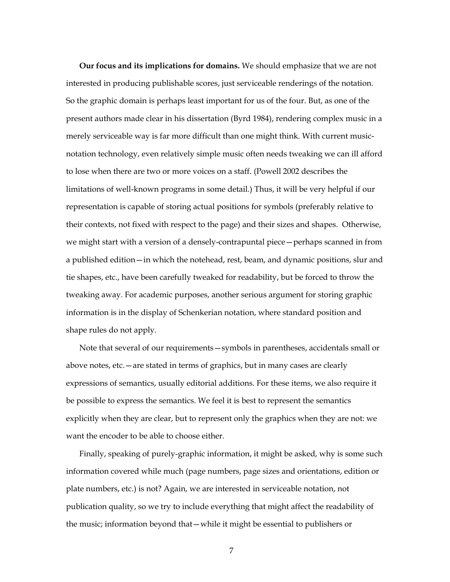**Our focus and its implications for domains.** We should emphasize that we are not interested in producing publishable scores, just serviceable renderings of the notation. So the graphic domain is perhaps least important for us of the four. But, as one of the present authors made clear in his dissertation (Byrd 1984), rendering complex music in a merely serviceable way is far more difficult than one might think. With current musicnotation technology, even relatively simple music often needs tweaking we can ill afford to lose when there are two or more voices on a staff. (Powell 2002 describes the limitations of well-known programs in some detail.) Thus, it will be very helpful if our representation is capable of storing actual positions for symbols (preferably relative to their contexts, not fixed with respect to the page) and their sizes and shapes. Otherwise, we might start with a version of a densely-contrapuntal piece—perhaps scanned in from a published edition—in which the notehead, rest, beam, and dynamic positions, slur and tie shapes, etc., have been carefully tweaked for readability, but be forced to throw the tweaking away. For academic purposes, another serious argument for storing graphic information is in the display of Schenkerian notation, where standard position and shape rules do not apply.

Note that several of our requirements—symbols in parentheses, accidentals small or above notes, etc.—are stated in terms of graphics, but in many cases are clearly expressions of semantics, usually editorial additions. For these items, we also require it be possible to express the semantics. We feel it is best to represent the semantics explicitly when they are clear, but to represent only the graphics when they are not: we want the encoder to be able to choose either.

Finally, speaking of purely-graphic information, it might be asked, why is some such information covered while much (page numbers, page sizes and orientations, edition or plate numbers, etc.) is not? Again, we are interested in serviceable notation, not publication quality, so we try to include everything that might affect the readability of the music; information beyond that—while it might be essential to publishers or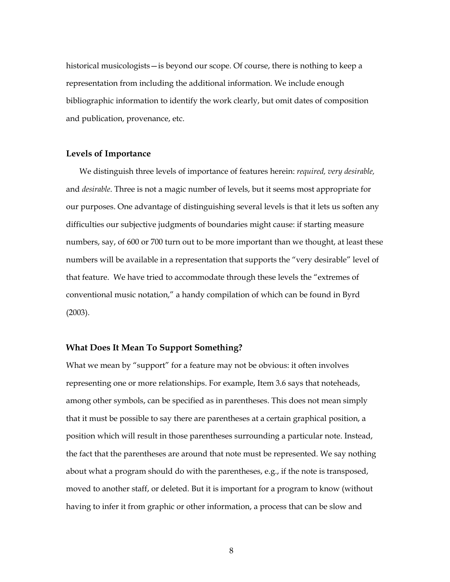historical musicologists—is beyond our scope. Of course, there is nothing to keep a representation from including the additional information. We include enough bibliographic information to identify the work clearly, but omit dates of composition and publication, provenance, etc.

#### **Levels of Importance**

We distinguish three levels of importance of features herein: *required, very desirable,*  and *desirable*. Three is not a magic number of levels, but it seems most appropriate for our purposes. One advantage of distinguishing several levels is that it lets us soften any difficulties our subjective judgments of boundaries might cause: if starting measure numbers, say, of 600 or 700 turn out to be more important than we thought, at least these numbers will be available in a representation that supports the "very desirable" level of that feature. We have tried to accommodate through these levels the "extremes of conventional music notation," a handy compilation of which can be found in Byrd (2003).

#### **What Does It Mean To Support Something?**

What we mean by "support" for a feature may not be obvious: it often involves representing one or more relationships. For example, Item 3.6 says that noteheads, among other symbols, can be specified as in parentheses. This does not mean simply that it must be possible to say there are parentheses at a certain graphical position, a position which will result in those parentheses surrounding a particular note. Instead, the fact that the parentheses are around that note must be represented. We say nothing about what a program should do with the parentheses, e.g., if the note is transposed, moved to another staff, or deleted. But it is important for a program to know (without having to infer it from graphic or other information, a process that can be slow and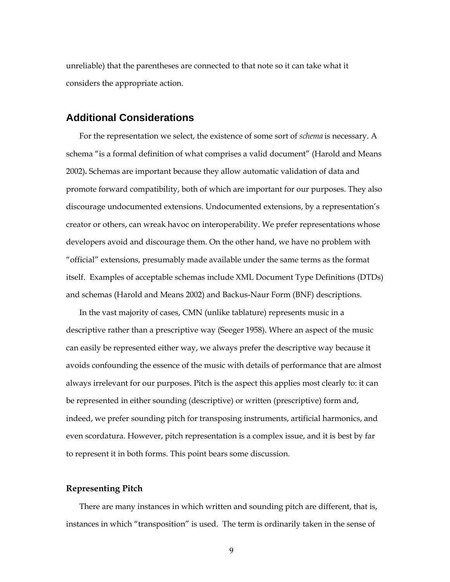unreliable) that the parentheses are connected to that note so it can take what it considers the appropriate action.

#### **Additional Considerations**

For the representation we select, the existence of some sort of *schema* is necessary. A schema "is a formal definition of what comprises a valid document" (Harold and Means 2002)**.** Schemas are important because they allow automatic validation of data and promote forward compatibility, both of which are important for our purposes. They also discourage undocumented extensions. Undocumented extensions, by a representation's creator or others, can wreak havoc on interoperability. We prefer representations whose developers avoid and discourage them. On the other hand, we have no problem with "official" extensions, presumably made available under the same terms as the format itself. Examples of acceptable schemas include XML Document Type Definitions (DTDs) and schemas (Harold and Means 2002) and Backus-Naur Form (BNF) descriptions.

In the vast majority of cases, CMN (unlike tablature) represents music in a descriptive rather than a prescriptive way (Seeger 1958). Where an aspect of the music can easily be represented either way, we always prefer the descriptive way because it avoids confounding the essence of the music with details of performance that are almost always irrelevant for our purposes. Pitch is the aspect this applies most clearly to: it can be represented in either sounding (descriptive) or written (prescriptive) form and, indeed, we prefer sounding pitch for transposing instruments, artificial harmonics, and even scordatura. However, pitch representation is a complex issue, and it is best by far to represent it in both forms. This point bears some discussion.

#### **Representing Pitch**

There are many instances in which written and sounding pitch are different, that is, instances in which "transposition" is used. The term is ordinarily taken in the sense of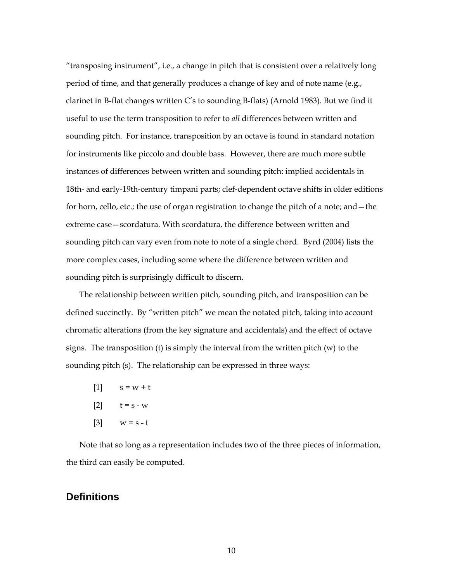"transposing instrument", i.e., a change in pitch that is consistent over a relatively long period of time, and that generally produces a change of key and of note name (e.g., clarinet in B-flat changes written C's to sounding B-flats) (Arnold 1983). But we find it useful to use the term transposition to refer to *all* differences between written and sounding pitch. For instance, transposition by an octave is found in standard notation for instruments like piccolo and double bass. However, there are much more subtle instances of differences between written and sounding pitch: implied accidentals in 18th- and early-19th-century timpani parts; clef-dependent octave shifts in older editions for horn, cello, etc.; the use of organ registration to change the pitch of a note; and—the extreme case—scordatura. With scordatura, the difference between written and sounding pitch can vary even from note to note of a single chord. Byrd (2004) lists the more complex cases, including some where the difference between written and sounding pitch is surprisingly difficult to discern.

The relationship between written pitch, sounding pitch, and transposition can be defined succinctly. By "written pitch" we mean the notated pitch, taking into account chromatic alterations (from the key signature and accidentals) and the effect of octave signs. The transposition (t) is simply the interval from the written pitch (w) to the sounding pitch (s). The relationship can be expressed in three ways:

- $[1]$   $s = w + t$
- [2]  $t = s w$
- $[3]$   $w = s t$

Note that so long as a representation includes two of the three pieces of information, the third can easily be computed.

#### **Definitions**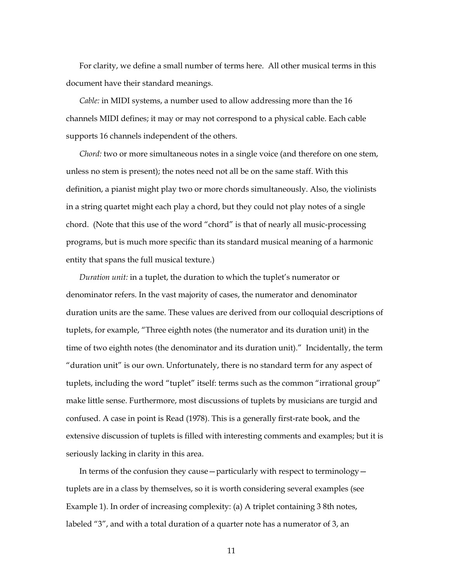For clarity, we define a small number of terms here. All other musical terms in this document have their standard meanings.

*Cable:* in MIDI systems, a number used to allow addressing more than the 16 channels MIDI defines; it may or may not correspond to a physical cable. Each cable supports 16 channels independent of the others.

*Chord:* two or more simultaneous notes in a single voice (and therefore on one stem, unless no stem is present); the notes need not all be on the same staff. With this definition, a pianist might play two or more chords simultaneously. Also, the violinists in a string quartet might each play a chord, but they could not play notes of a single chord. (Note that this use of the word "chord" is that of nearly all music-processing programs, but is much more specific than its standard musical meaning of a harmonic entity that spans the full musical texture.)

*Duration unit:* in a tuplet, the duration to which the tuplet's numerator or denominator refers. In the vast majority of cases, the numerator and denominator duration units are the same. These values are derived from our colloquial descriptions of tuplets, for example, "Three eighth notes (the numerator and its duration unit) in the time of two eighth notes (the denominator and its duration unit)." Incidentally, the term "duration unit" is our own. Unfortunately, there is no standard term for any aspect of tuplets, including the word "tuplet" itself: terms such as the common "irrational group" make little sense. Furthermore, most discussions of tuplets by musicians are turgid and confused. A case in point is Read (1978). This is a generally first-rate book, and the extensive discussion of tuplets is filled with interesting comments and examples; but it is seriously lacking in clarity in this area.

In terms of the confusion they cause—particularly with respect to terminology tuplets are in a class by themselves, so it is worth considering several examples (see Example 1). In order of increasing complexity: (a) A triplet containing 3 8th notes, labeled "3", and with a total duration of a quarter note has a numerator of 3, an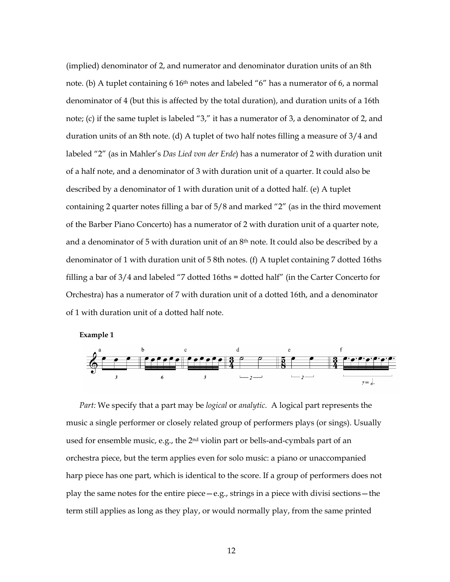(implied) denominator of 2, and numerator and denominator duration units of an 8th note. (b) A tuplet containing 6 16<sup>th</sup> notes and labeled "6" has a numerator of 6, a normal denominator of 4 (but this is affected by the total duration), and duration units of a 16th note; (c) if the same tuplet is labeled "3," it has a numerator of 3, a denominator of 2, and duration units of an 8th note. (d) A tuplet of two half notes filling a measure of 3/4 and labeled "2" (as in Mahler's *Das Lied von der Erde*) has a numerator of 2 with duration unit of a half note, and a denominator of 3 with duration unit of a quarter. It could also be described by a denominator of 1 with duration unit of a dotted half. (e) A tuplet containing 2 quarter notes filling a bar of 5/8 and marked "2" (as in the third movement of the Barber Piano Concerto) has a numerator of 2 with duration unit of a quarter note, and a denominator of 5 with duration unit of an 8<sup>th</sup> note. It could also be described by a denominator of 1 with duration unit of 5 8th notes. (f) A tuplet containing 7 dotted 16ths filling a bar of 3/4 and labeled "7 dotted 16ths = dotted half" (in the Carter Concerto for Orchestra) has a numerator of 7 with duration unit of a dotted 16th, and a denominator of 1 with duration unit of a dotted half note.

**Example 1** 



*Part:* We specify that a part may be *logical* or *analytic*. A logical part represents the music a single performer or closely related group of performers plays (or sings). Usually used for ensemble music, e.g., the 2<sup>nd</sup> violin part or bells-and-cymbals part of an orchestra piece, but the term applies even for solo music: a piano or unaccompanied harp piece has one part, which is identical to the score. If a group of performers does not play the same notes for the entire piece—e.g., strings in a piece with divisi sections—the term still applies as long as they play, or would normally play, from the same printed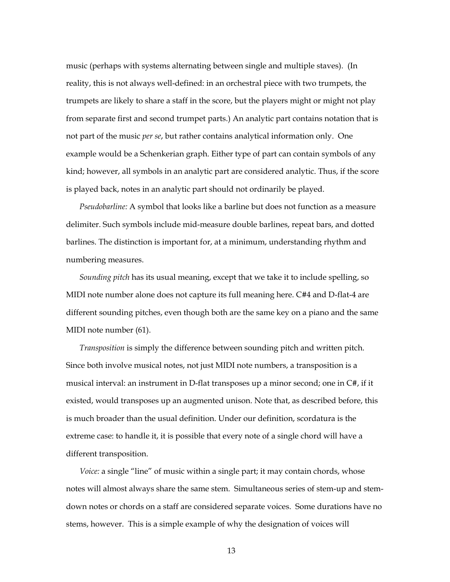music (perhaps with systems alternating between single and multiple staves). (In reality, this is not always well-defined: in an orchestral piece with two trumpets, the trumpets are likely to share a staff in the score, but the players might or might not play from separate first and second trumpet parts.) An analytic part contains notation that is not part of the music *per se*, but rather contains analytical information only. One example would be a Schenkerian graph. Either type of part can contain symbols of any kind; however, all symbols in an analytic part are considered analytic. Thus, if the score is played back, notes in an analytic part should not ordinarily be played.

*Pseudobarline:* A symbol that looks like a barline but does not function as a measure delimiter. Such symbols include mid-measure double barlines, repeat bars, and dotted barlines. The distinction is important for, at a minimum, understanding rhythm and numbering measures.

*Sounding pitch* has its usual meaning, except that we take it to include spelling, so MIDI note number alone does not capture its full meaning here. C#4 and D-flat-4 are different sounding pitches, even though both are the same key on a piano and the same MIDI note number (61).

*Transposition* is simply the difference between sounding pitch and written pitch. Since both involve musical notes, not just MIDI note numbers, a transposition is a musical interval: an instrument in D-flat transposes up a minor second; one in C#, if it existed, would transposes up an augmented unison. Note that, as described before, this is much broader than the usual definition. Under our definition, scordatura is the extreme case: to handle it, it is possible that every note of a single chord will have a different transposition.

*Voice:* a single "line" of music within a single part; it may contain chords, whose notes will almost always share the same stem. Simultaneous series of stem-up and stemdown notes or chords on a staff are considered separate voices. Some durations have no stems, however. This is a simple example of why the designation of voices will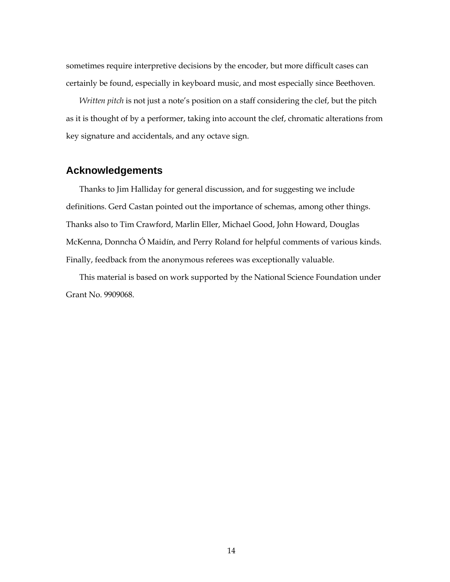sometimes require interpretive decisions by the encoder, but more difficult cases can certainly be found, especially in keyboard music, and most especially since Beethoven.

*Written pitch* is not just a note's position on a staff considering the clef, but the pitch as it is thought of by a performer, taking into account the clef, chromatic alterations from key signature and accidentals, and any octave sign.

#### **Acknowledgements**

Thanks to Jim Halliday for general discussion, and for suggesting we include definitions. Gerd Castan pointed out the importance of schemas, among other things. Thanks also to Tim Crawford, Marlin Eller, Michael Good, John Howard, Douglas McKenna, Donncha Ó Maidín, and Perry Roland for helpful comments of various kinds. Finally, feedback from the anonymous referees was exceptionally valuable.

This material is based on work supported by the National Science Foundation under Grant No. 9909068.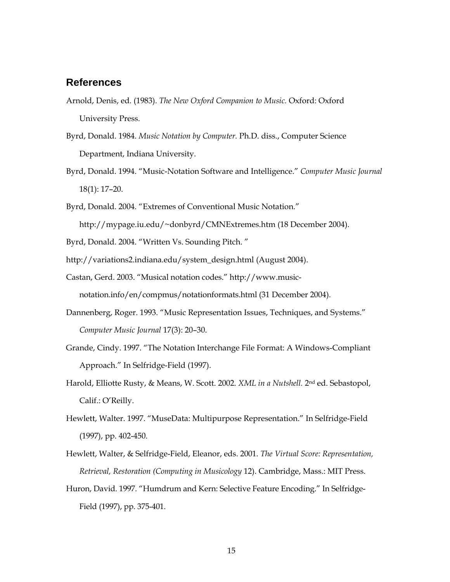### **References**

- Arnold, Denis, ed. (1983). *The New Oxford Companion to Music.* Oxford: Oxford University Press.
- Byrd, Donald. 1984. *Music Notation by Computer.* Ph.D. diss., Computer Science Department, Indiana University.
- Byrd, Donald. 1994. "Music-Notation Software and Intelligence." *Computer Music Journal* 18(1): 17–20.
- Byrd, Donald. 2004. "Extremes of Conventional Music Notation."

http://mypage.iu.edu/~donbyrd/CMNExtremes.htm (18 December 2004).

- Byrd, Donald. 2004. "Written Vs. Sounding Pitch. "
- http://variations2.indiana.edu/system\_design.html (August 2004).
- Castan, Gerd. 2003. "Musical notation codes." http://www.musicnotation.info/en/compmus/notationformats.html (31 December 2004).
- Dannenberg, Roger. 1993. "Music Representation Issues, Techniques, and Systems." *Computer Music Journal* 17(3): 20–30.
- Grande, Cindy. 1997. "The Notation Interchange File Format: A Windows-Compliant Approach." In Selfridge-Field (1997).
- Harold, Elliotte Rusty, & Means, W. Scott. 2002. *XML in a Nutshell.* 2nd ed. Sebastopol, Calif.: O'Reilly.
- Hewlett, Walter. 1997. "MuseData: Multipurpose Representation." In Selfridge-Field (1997), pp. 402-450.
- Hewlett, Walter, & Selfridge-Field, Eleanor, eds. 2001. *The Virtual Score: Representation, Retrieval, Restoration (Computing in Musicology* 12). Cambridge, Mass.: MIT Press.
- Huron, David. 1997. "Humdrum and Kern: Selective Feature Encoding." In Selfridge-Field (1997), pp. 375-401.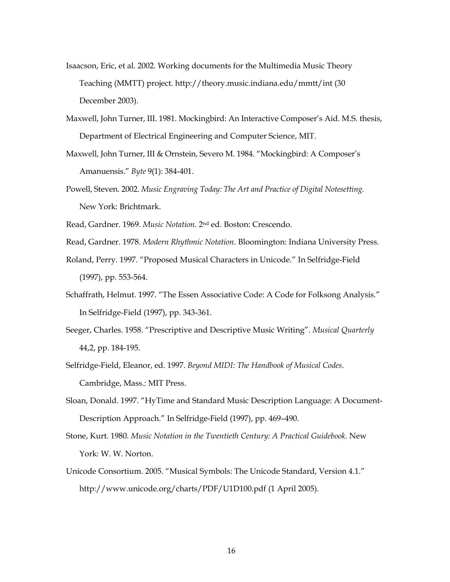- Isaacson, Eric, et al. 2002. Working documents for the Multimedia Music Theory Teaching (MMTT) project. http://theory.music.indiana.edu/mmtt/int (30 December 2003).
- Maxwell, John Turner, III. 1981. Mockingbird: An Interactive Composer's Aid. M.S. thesis, Department of Electrical Engineering and Computer Science, MIT.
- Maxwell, John Turner, III & Ornstein, Severo M. 1984. "Mockingbird: A Composer's Amanuensis." *Byte* 9(1): 384-401.
- Powell, Steven. 2002. *Music Engraving Today: The Art and Practice of Digital Notesetting.*  New York: Brichtmark.
- Read, Gardner. 1969. *Music Notation*. 2nd ed. Boston: Crescendo.
- Read, Gardner. 1978. *Modern Rhythmic Notation*. Bloomington: Indiana University Press.
- Roland, Perry. 1997. "Proposed Musical Characters in Unicode." In Selfridge-Field (1997), pp. 553-564.
- Schaffrath, Helmut. 1997. "The Essen Associative Code: A Code for Folksong Analysis." In Selfridge-Field (1997), pp. 343-361.
- Seeger, Charles. 1958. "Prescriptive and Descriptive Music Writing". *Musical Quarterly* 44,2, pp. 184-195.
- Selfridge-Field, Eleanor, ed. 1997. *Beyond MIDI: The Handbook of Musical Codes*. Cambridge, Mass.: MIT Press.
- Sloan, Donald. 1997. "HyTime and Standard Music Description Language: A Document-Description Approach." In Selfridge-Field (1997), pp. 469–490.
- Stone, Kurt. 1980. *Music Notation in the Twentieth Century: A Practical Guidebook.* New York: W. W. Norton.
- Unicode Consortium. 2005. "Musical Symbols: The Unicode Standard, Version 4.1." http://www.unicode.org/charts/PDF/U1D100.pdf (1 April 2005).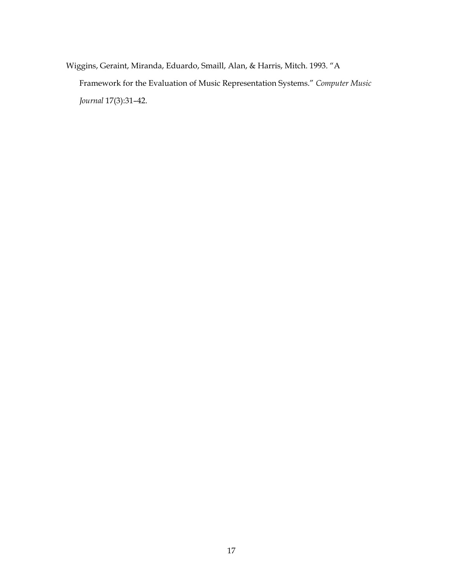Wiggins, Geraint, Miranda, Eduardo, Smaill, Alan, & Harris, Mitch. 1993. "A Framework for the Evaluation of Music Representation Systems." *Computer Music Journal* 17(3):31–42.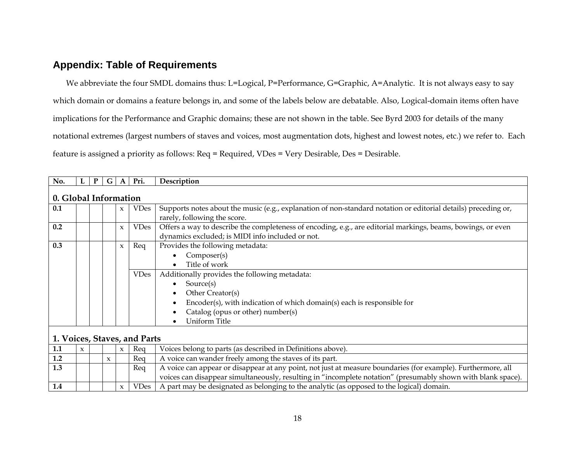## **Appendix: Table of Requirements**

We abbreviate the four SMDL domains thus: L=Logical, P=Performance, G=Graphic, A=Analytic. It is not always easy to say which domain or domains a feature belongs in, and some of the labels below are debatable. Also, Logical-domain items often have implications for the Performance and Graphic domains; these are not shown in the table. See Byrd 2003 for details of the many notational extremes (largest numbers of staves and voices, most augmentation dots, highest and lowest notes, etc.) we refer to. Each feature is assigned a priority as follows: Req = Required, VDes = Very Desirable, Des = Desirable.

| No.                          |                       | P | G | $\mathbf{A}$              | Pri.        | Description                                                                                                                                                                                                                                           |  |  |  |  |
|------------------------------|-----------------------|---|---|---------------------------|-------------|-------------------------------------------------------------------------------------------------------------------------------------------------------------------------------------------------------------------------------------------------------|--|--|--|--|
|                              | 0. Global Information |   |   |                           |             |                                                                                                                                                                                                                                                       |  |  |  |  |
| 0.1                          |                       |   |   | $\boldsymbol{\mathsf{x}}$ | <b>VDes</b> | Supports notes about the music (e.g., explanation of non-standard notation or editorial details) preceding or,<br>rarely, following the score.                                                                                                        |  |  |  |  |
| 0.2                          |                       |   |   | $\mathbf{x}$              | <b>VDes</b> | Offers a way to describe the completeness of encoding, e.g., are editorial markings, beams, bowings, or even<br>dynamics excluded; is MIDI info included or not.                                                                                      |  |  |  |  |
| 0.3                          |                       |   |   | $\boldsymbol{\chi}$       | Req         | Provides the following metadata:<br>Composer(s)<br>Title of work<br>$\bullet$                                                                                                                                                                         |  |  |  |  |
|                              |                       |   |   |                           | <b>VDes</b> | Additionally provides the following metadata:<br>Source(s)<br>$\bullet$<br>Other Creator(s)<br>$\bullet$<br>Encoder(s), with indication of which domain(s) each is responsible for<br>Catalog (opus or other) number(s)<br>Uniform Title<br>$\bullet$ |  |  |  |  |
| 1. Voices, Staves, and Parts |                       |   |   |                           |             |                                                                                                                                                                                                                                                       |  |  |  |  |

| - 1.1       | $\mathbf{x}$ |  |                     | $\mathbf{x}$ | Rea  | Voices belong to parts (as described in Definitions above).                                                  |  |  |  |  |
|-------------|--------------|--|---------------------|--------------|------|--------------------------------------------------------------------------------------------------------------|--|--|--|--|
| 1.2         |              |  | $\boldsymbol{\chi}$ |              | Rea  | A voice can wander freely among the staves of its part.                                                      |  |  |  |  |
| $\vert$ 1.3 |              |  |                     |              | Reg  | A voice can appear or disappear at any point, not just at measure boundaries (for example). Furthermore, all |  |  |  |  |
|             |              |  |                     |              |      | voices can disappear simultaneously, resulting in "incomplete notation" (presumably shown with blank space). |  |  |  |  |
| 1.4         |              |  |                     |              | VDes | $\alpha$ A part may be designated as belonging to the analytic (as opposed to the logical) domain.           |  |  |  |  |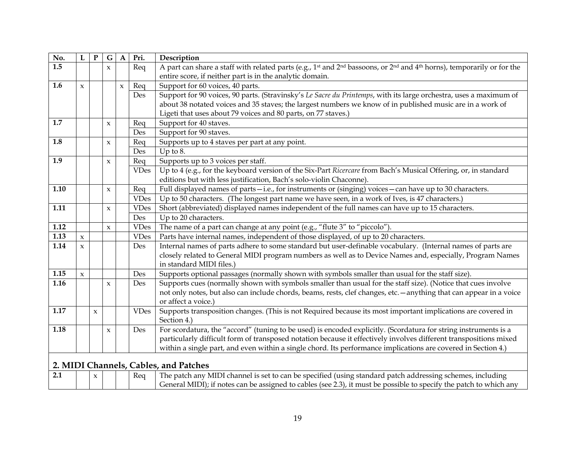| No.  | L                   | $\mathbf{P}$        | ${\bf G}$    | $\mathbf A$  | Pri.        | Description                                                                                                                                                                                                                                                                                                                                           |
|------|---------------------|---------------------|--------------|--------------|-------------|-------------------------------------------------------------------------------------------------------------------------------------------------------------------------------------------------------------------------------------------------------------------------------------------------------------------------------------------------------|
| 1.5  |                     |                     | $\pmb{\chi}$ |              | Req         | A part can share a staff with related parts (e.g., 1 <sup>st</sup> and 2 <sup>nd</sup> bassoons, or 2 <sup>nd</sup> and 4 <sup>th</sup> horns), temporarily or for the<br>entire score, if neither part is in the analytic domain.                                                                                                                    |
| 1.6  | $\boldsymbol{\chi}$ |                     |              | $\pmb{\chi}$ | Req         | Support for 60 voices, 40 parts.                                                                                                                                                                                                                                                                                                                      |
|      |                     |                     |              |              | Des         | Support for 90 voices, 90 parts. (Stravinsky's Le Sacre du Printemps, with its large orchestra, uses a maximum of<br>about 38 notated voices and 35 staves; the largest numbers we know of in published music are in a work of<br>Ligeti that uses about 79 voices and 80 parts, on 77 staves.)                                                       |
| 1.7  |                     |                     | $\pmb{\chi}$ |              | Req         | Support for 40 staves.                                                                                                                                                                                                                                                                                                                                |
|      |                     |                     |              |              | Des         | Support for 90 staves.                                                                                                                                                                                                                                                                                                                                |
| 1.8  |                     |                     | $\mathbf{x}$ |              | Req         | Supports up to 4 staves per part at any point.                                                                                                                                                                                                                                                                                                        |
|      |                     |                     |              |              | Des         | Up to $8$ .                                                                                                                                                                                                                                                                                                                                           |
| 1.9  |                     |                     | $\pmb{\chi}$ |              | Req         | Supports up to 3 voices per staff.                                                                                                                                                                                                                                                                                                                    |
|      |                     |                     |              |              | <b>VDes</b> | Up to 4 (e.g., for the keyboard version of the Six-Part Ricercare from Bach's Musical Offering, or, in standard<br>editions but with less justification, Bach's solo-violin Chaconne).                                                                                                                                                                |
| 1.10 |                     |                     | $\pmb{\chi}$ |              | Req         | Full displayed names of parts-i.e., for instruments or (singing) voices-can have up to 30 characters.                                                                                                                                                                                                                                                 |
|      |                     |                     |              |              | <b>VDes</b> | Up to 50 characters. (The longest part name we have seen, in a work of Ives, is 47 characters.)                                                                                                                                                                                                                                                       |
| 1.11 |                     |                     | $\pmb{\chi}$ |              | <b>VDes</b> | Short (abbreviated) displayed names independent of the full names can have up to 15 characters.                                                                                                                                                                                                                                                       |
|      |                     |                     |              |              | Des         | Up to 20 characters.                                                                                                                                                                                                                                                                                                                                  |
| 1.12 |                     |                     | $\pmb{\chi}$ |              | <b>VDes</b> | The name of a part can change at any point (e.g., "flute 3" to "piccolo").                                                                                                                                                                                                                                                                            |
| 1.13 | $\boldsymbol{\chi}$ |                     |              |              | <b>VDes</b> | Parts have internal names, independent of those displayed, of up to 20 characters.                                                                                                                                                                                                                                                                    |
| 1.14 | $\boldsymbol{\chi}$ |                     |              |              | Des         | Internal names of parts adhere to some standard but user-definable vocabulary. (Internal names of parts are<br>closely related to General MIDI program numbers as well as to Device Names and, especially, Program Names<br>in standard MIDI files.)                                                                                                  |
| 1.15 | $\mathsf x$         |                     |              |              | Des         | Supports optional passages (normally shown with symbols smaller than usual for the staff size).                                                                                                                                                                                                                                                       |
| 1.16 |                     |                     | $\pmb{\chi}$ |              | Des         | Supports cues (normally shown with symbols smaller than usual for the staff size). (Notice that cues involve<br>not only notes, but also can include chords, beams, rests, clef changes, etc. - anything that can appear in a voice<br>or affect a voice.)                                                                                            |
| 1.17 |                     | $\boldsymbol{\chi}$ |              |              | <b>VDes</b> | Supports transposition changes. (This is not Required because its most important implications are covered in<br>Section 4.)                                                                                                                                                                                                                           |
| 1.18 |                     |                     | $\pmb{\chi}$ |              | Des         | For scordatura, the "accord" (tuning to be used) is encoded explicitly. (Scordatura for string instruments is a<br>particularly difficult form of transposed notation because it effectively involves different transpositions mixed<br>within a single part, and even within a single chord. Its performance implications are covered in Section 4.) |
|      |                     |                     |              |              |             | 2. MIDI Channels, Cables, and Patches                                                                                                                                                                                                                                                                                                                 |
| 2.1  |                     | $\pmb{\chi}$        |              |              | Req         | The patch any MIDI channel is set to can be specified (using standard patch addressing schemes, including<br>General MIDI); if notes can be assigned to cables (see 2.3), it must be possible to specify the patch to which any                                                                                                                       |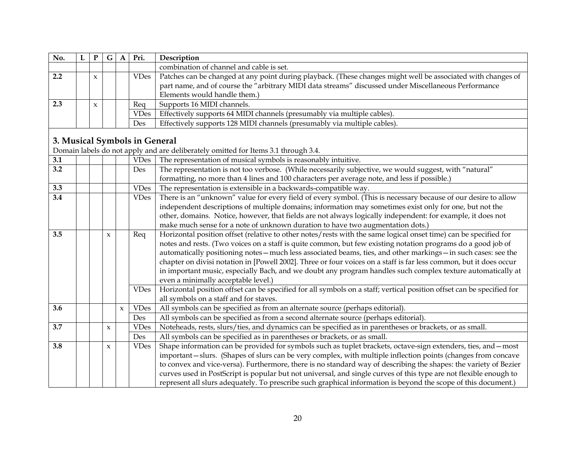| No. |                     | G | $\mathbf{A}$ | Pri.        | Description                                                                                                  |
|-----|---------------------|---|--------------|-------------|--------------------------------------------------------------------------------------------------------------|
|     |                     |   |              |             | combination of channel and cable is set.                                                                     |
| 2.2 | $\boldsymbol{\chi}$ |   |              | <b>VDes</b> | Patches can be changed at any point during playback. (These changes might well be associated with changes of |
|     |                     |   |              |             | part name, and of course the "arbitrary MIDI data streams" discussed under Miscellaneous Performance         |
|     |                     |   |              |             | Elements would handle them.)                                                                                 |
| 2.3 | $\boldsymbol{\chi}$ |   |              | Reg         | Supports 16 MIDI channels.                                                                                   |
|     |                     |   |              | <b>VDes</b> | Effectively supports 64 MIDI channels (presumably via multiple cables).                                      |
|     |                     |   |              | Des         | Effectively supports 128 MIDI channels (presumably via multiple cables).                                     |

### **3. Musical Symbols in General**

Domain labels do not apply and are deliberately omitted for Items 3.1 through 3.4.

| 3.1 |  |              |                     | <b>VDes</b> | The representation of musical symbols is reasonably intuitive.                                                        |
|-----|--|--------------|---------------------|-------------|-----------------------------------------------------------------------------------------------------------------------|
| 3.2 |  |              |                     | Des         | The representation is not too verbose. (While necessarily subjective, we would suggest, with "natural"                |
|     |  |              |                     |             | formatting, no more than 4 lines and 100 characters per average note, and less if possible.)                          |
| 3.3 |  |              |                     | <b>VDes</b> | The representation is extensible in a backwards-compatible way.                                                       |
| 3.4 |  |              |                     | <b>VDes</b> | There is an "unknown" value for every field of every symbol. (This is necessary because of our desire to allow        |
|     |  |              |                     |             | independent descriptions of multiple domains; information may sometimes exist only for one, but not the               |
|     |  |              |                     |             | other, domains. Notice, however, that fields are not always logically independent: for example, it does not           |
|     |  |              |                     |             | make much sense for a note of unknown duration to have two augmentation dots.)                                        |
| 3.5 |  | $\mathbf{x}$ |                     | Req         | Horizontal position offset (relative to other notes/rests with the same logical onset time) can be specified for      |
|     |  |              |                     |             | notes and rests. (Two voices on a staff is quite common, but few existing notation programs do a good job of          |
|     |  |              |                     |             | automatically positioning notes - much less associated beams, ties, and other markings - in such cases: see the       |
|     |  |              |                     |             | chapter on divisi notation in [Powell 2002]. Three or four voices on a staff is far less common, but it does occur    |
|     |  |              |                     |             | in important music, especially Bach, and we doubt any program handles such complex texture automatically at           |
|     |  |              |                     |             | even a minimally acceptable level.)                                                                                   |
|     |  |              |                     | <b>VDes</b> | Horizontal position offset can be specified for all symbols on a staff; vertical position offset can be specified for |
|     |  |              |                     |             | all symbols on a staff and for staves.                                                                                |
| 3.6 |  |              | $\boldsymbol{\chi}$ | <b>VDes</b> | All symbols can be specified as from an alternate source (perhaps editorial).                                         |
|     |  |              |                     | Des         | All symbols can be specified as from a second alternate source (perhaps editorial).                                   |
| 3.7 |  | $\mathbf{x}$ |                     | VDes        | Noteheads, rests, slurs/ties, and dynamics can be specified as in parentheses or brackets, or as small.               |
|     |  |              |                     | Des         | All symbols can be specified as in parentheses or brackets, or as small.                                              |
| 3.8 |  | $\mathbf{x}$ |                     | <b>VDes</b> | Shape information can be provided for symbols such as tuplet brackets, octave-sign extenders, ties, and – most        |
|     |  |              |                     |             | important – slurs. (Shapes of slurs can be very complex, with multiple inflection points (changes from concave        |
|     |  |              |                     |             | to convex and vice-versa). Furthermore, there is no standard way of describing the shapes: the variety of Bezier      |
|     |  |              |                     |             | curves used in PostScript is popular but not universal, and single curves of this type are not flexible enough to     |
|     |  |              |                     |             | represent all slurs adequately. To prescribe such graphical information is beyond the scope of this document.)        |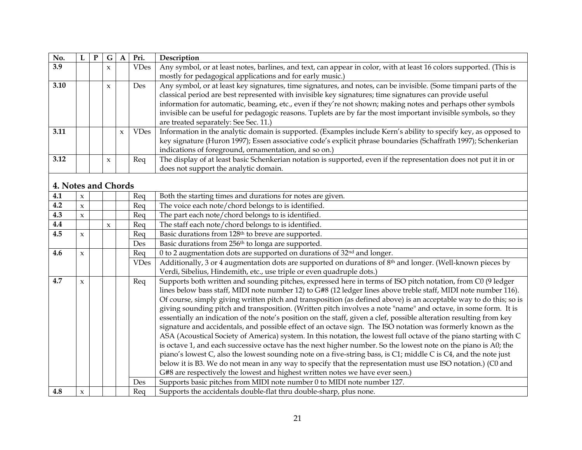| No.                 | L                   | ${\bf P}$ | ${\bf G}$           | $\mathbf{A}$        | Pri.        | Description                                                                                                                                                                                                                          |
|---------------------|---------------------|-----------|---------------------|---------------------|-------------|--------------------------------------------------------------------------------------------------------------------------------------------------------------------------------------------------------------------------------------|
| 3.9                 |                     |           | $\pmb{\chi}$        |                     | <b>VDes</b> | Any symbol, or at least notes, barlines, and text, can appear in color, with at least 16 colors supported. (This is                                                                                                                  |
|                     |                     |           |                     |                     |             | mostly for pedagogical applications and for early music.)                                                                                                                                                                            |
| 3.10                |                     |           | $\pmb{\chi}$        |                     | Des         | Any symbol, or at least key signatures, time signatures, and notes, can be invisible. (Some timpani parts of the                                                                                                                     |
|                     |                     |           |                     |                     |             | classical period are best represented with invisible key signatures; time signatures can provide useful                                                                                                                              |
|                     |                     |           |                     |                     |             | information for automatic, beaming, etc., even if they're not shown; making notes and perhaps other symbols                                                                                                                          |
|                     |                     |           |                     |                     |             | invisible can be useful for pedagogic reasons. Tuplets are by far the most important invisible symbols, so they                                                                                                                      |
|                     |                     |           |                     |                     |             | are treated separately: See Sec. 11.)                                                                                                                                                                                                |
| 3.11                |                     |           |                     | $\boldsymbol{\chi}$ | <b>VDes</b> | Information in the analytic domain is supported. (Examples include Kern's ability to specify key, as opposed to                                                                                                                      |
|                     |                     |           |                     |                     |             | key signature (Huron 1997); Essen associative code's explicit phrase boundaries (Schaffrath 1997); Schenkerian                                                                                                                       |
|                     |                     |           |                     |                     |             | indications of foreground, ornamentation, and so on.)                                                                                                                                                                                |
| 3.12                |                     |           | $\pmb{\chi}$        |                     | Req         | The display of at least basic Schenkerian notation is supported, even if the representation does not put it in or                                                                                                                    |
|                     |                     |           |                     |                     |             | does not support the analytic domain.                                                                                                                                                                                                |
| 4. Notes and Chords |                     |           |                     |                     |             |                                                                                                                                                                                                                                      |
|                     |                     |           |                     |                     |             |                                                                                                                                                                                                                                      |
| 4.1                 | $\pmb{\chi}$        |           |                     |                     | Req         | Both the starting times and durations for notes are given.                                                                                                                                                                           |
| 4.2                 | $\pmb{\chi}$        |           |                     |                     | Req         | The voice each note/chord belongs to is identified.                                                                                                                                                                                  |
| 4.3                 | $\mathbf x$         |           |                     |                     | Req         | The part each note/chord belongs to is identified.                                                                                                                                                                                   |
| 4.4<br>4.5          |                     |           | $\boldsymbol{\chi}$ |                     | Req         | The staff each note/chord belongs to is identified.                                                                                                                                                                                  |
|                     | $\boldsymbol{\chi}$ |           |                     |                     | Req         | Basic durations from 128 <sup>th</sup> to breve are supported.                                                                                                                                                                       |
|                     |                     |           |                     |                     | Des         | Basic durations from 256 <sup>th</sup> to longa are supported.                                                                                                                                                                       |
| 4.6                 | $\pmb{\chi}$        |           |                     |                     | Req         | 0 to 2 augmentation dots are supported on durations of 32 <sup>nd</sup> and longer.                                                                                                                                                  |
|                     |                     |           |                     |                     | <b>VDes</b> | Additionally, 3 or 4 augmentation dots are supported on durations of 8 <sup>th</sup> and longer. (Well-known pieces by                                                                                                               |
| 4.7                 |                     |           |                     |                     |             | Verdi, Sibelius, Hindemith, etc., use triple or even quadruple dots.)                                                                                                                                                                |
|                     | $\pmb{\chi}$        |           |                     |                     | Req         | Supports both written and sounding pitches, expressed here in terms of ISO pitch notation, from C0 (9 ledger                                                                                                                         |
|                     |                     |           |                     |                     |             | lines below bass staff, MIDI note number 12) to G#8 (12 ledger lines above treble staff, MIDI note number 116).                                                                                                                      |
|                     |                     |           |                     |                     |             | Of course, simply giving written pitch and transposition (as defined above) is an acceptable way to do this; so is<br>giving sounding pitch and transposition. (Written pitch involves a note "name" and octave, in some form. It is |
|                     |                     |           |                     |                     |             | essentially an indication of the note's position on the staff, given a clef, possible alteration resulting from key                                                                                                                  |
|                     |                     |           |                     |                     |             | signature and accidentals, and possible effect of an octave sign. The ISO notation was formerly known as the                                                                                                                         |
|                     |                     |           |                     |                     |             | ASA (Acoustical Society of America) system. In this notation, the lowest full octave of the piano starting with C                                                                                                                    |
|                     |                     |           |                     |                     |             | is octave 1, and each successive octave has the next higher number. So the lowest note on the piano is A0; the                                                                                                                       |
|                     |                     |           |                     |                     |             | piano's lowest C, also the lowest sounding note on a five-string bass, is C1; middle C is C4, and the note just                                                                                                                      |
|                     |                     |           |                     |                     |             | below it is B3. We do not mean in any way to specify that the representation must use ISO notation.) (C0 and                                                                                                                         |
|                     |                     |           |                     |                     |             | G#8 are respectively the lowest and highest written notes we have ever seen.)                                                                                                                                                        |
|                     |                     |           |                     |                     | Des         | Supports basic pitches from MIDI note number 0 to MIDI note number 127.                                                                                                                                                              |
| 4.8                 | $\pmb{\chi}$        |           |                     |                     | Req         | Supports the accidentals double-flat thru double-sharp, plus none.                                                                                                                                                                   |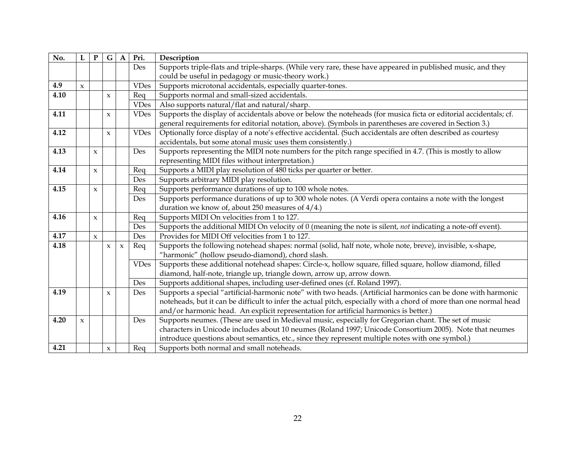| No.  | L            | ${\bf P}$           | G                   | $\mathbf A$         | Pri.        | Description                                                                                                        |
|------|--------------|---------------------|---------------------|---------------------|-------------|--------------------------------------------------------------------------------------------------------------------|
|      |              |                     |                     |                     | Des         | Supports triple-flats and triple-sharps. (While very rare, these have appeared in published music, and they        |
|      |              |                     |                     |                     |             | could be useful in pedagogy or music-theory work.)                                                                 |
| 4.9  | $\mathbf{x}$ |                     |                     |                     | <b>VDes</b> | Supports microtonal accidentals, especially quarter-tones.                                                         |
| 4.10 |              |                     | $\mathbf x$         |                     | Req         | Supports normal and small-sized accidentals.                                                                       |
|      |              |                     |                     |                     | <b>VDes</b> | Also supports natural/flat and natural/sharp.                                                                      |
| 4.11 |              |                     | $\pmb{\chi}$        |                     | <b>VDes</b> | Supports the display of accidentals above or below the noteheads (for musica ficta or editorial accidentals; cf.   |
|      |              |                     |                     |                     |             | general requirements for editorial notation, above). (Symbols in parentheses are covered in Section 3.)            |
| 4.12 |              |                     | $\mathbf{x}$        |                     | <b>VDes</b> | Optionally force display of a note's effective accidental. (Such accidentals are often described as courtesy       |
|      |              |                     |                     |                     |             | accidentals, but some atonal music uses them consistently.)                                                        |
| 4.13 |              | $\boldsymbol{\chi}$ |                     |                     | Des         | Supports representing the MIDI note numbers for the pitch range specified in 4.7. (This is mostly to allow         |
|      |              |                     |                     |                     |             | representing MIDI files without interpretation.)                                                                   |
| 4.14 |              | $\pmb{\chi}$        |                     |                     | Req         | Supports a MIDI play resolution of 480 ticks per quarter or better.                                                |
|      |              |                     |                     |                     | Des         | Supports arbitrary MIDI play resolution.                                                                           |
| 4.15 |              | $\boldsymbol{\chi}$ |                     |                     | Req         | Supports performance durations of up to 100 whole notes.                                                           |
|      |              |                     |                     |                     | Des         | Supports performance durations of up to 300 whole notes. (A Verdi opera contains a note with the longest           |
|      |              |                     |                     |                     |             | duration we know of, about 250 measures of 4/4.)                                                                   |
| 4.16 |              | $\boldsymbol{\chi}$ |                     |                     | Req         | Supports MIDI On velocities from 1 to 127.                                                                         |
|      |              |                     |                     |                     | Des         | Supports the additional MIDI On velocity of 0 (meaning the note is silent, not indicating a note-off event).       |
| 4.17 |              | $\mathbf{x}$        |                     |                     | Des         | Provides for MIDI Off velocities from 1 to 127.                                                                    |
| 4.18 |              |                     | $\mathbf{x}$        | $\boldsymbol{\chi}$ | Req         | Supports the following notehead shapes: normal (solid, half note, whole note, breve), invisible, x-shape,          |
|      |              |                     |                     |                     |             | "harmonic" (hollow pseudo-diamond), chord slash.                                                                   |
|      |              |                     |                     |                     | <b>VDes</b> | Supports these additional notehead shapes: Circle-x, hollow square, filled square, hollow diamond, filled          |
|      |              |                     |                     |                     |             | diamond, half-note, triangle up, triangle down, arrow up, arrow down.                                              |
|      |              |                     |                     |                     | Des         | Supports additional shapes, including user-defined ones (cf. Roland 1997).                                         |
| 4.19 |              |                     | $\mathbf{x}$        |                     | Des         | Supports a special "artificial-harmonic note" with two heads. (Artificial harmonics can be done with harmonic      |
|      |              |                     |                     |                     |             | noteheads, but it can be difficult to infer the actual pitch, especially with a chord of more than one normal head |
|      |              |                     |                     |                     |             | and/or harmonic head. An explicit representation for artificial harmonics is better.)                              |
| 4.20 | $\mathbf x$  |                     |                     |                     | Des         | Supports neumes. (These are used in Medieval music, especially for Gregorian chant. The set of music               |
|      |              |                     |                     |                     |             | characters in Unicode includes about 10 neumes (Roland 1997; Unicode Consortium 2005). Note that neumes            |
|      |              |                     |                     |                     |             | introduce questions about semantics, etc., since they represent multiple notes with one symbol.)                   |
| 4.21 |              |                     | $\boldsymbol{\chi}$ |                     | Req         | Supports both normal and small noteheads.                                                                          |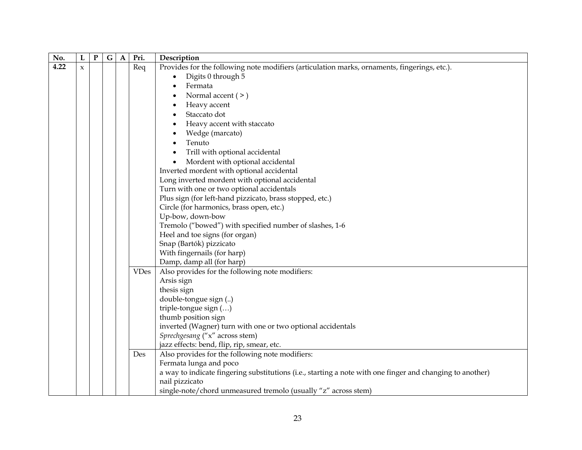| No.  | L                   | ${\bf P}$ | G | $\mathbf A$ | Pri.        | Description                                                                                                                 |
|------|---------------------|-----------|---|-------------|-------------|-----------------------------------------------------------------------------------------------------------------------------|
| 4.22 | $\boldsymbol{\chi}$ |           |   |             | Req         | Provides for the following note modifiers (articulation marks, ornaments, fingerings, etc.).                                |
|      |                     |           |   |             |             | Digits 0 through 5<br>$\bullet$                                                                                             |
|      |                     |           |   |             |             | Fermata<br>$\bullet$                                                                                                        |
|      |                     |           |   |             |             | Normal accent $(>)$<br>$\bullet$                                                                                            |
|      |                     |           |   |             |             | Heavy accent<br>$\bullet$                                                                                                   |
|      |                     |           |   |             |             | Staccato dot<br>$\bullet$                                                                                                   |
|      |                     |           |   |             |             | Heavy accent with staccato<br>$\bullet$                                                                                     |
|      |                     |           |   |             |             | Wedge (marcato)<br>$\bullet$                                                                                                |
|      |                     |           |   |             |             | Tenuto<br>$\bullet$                                                                                                         |
|      |                     |           |   |             |             | Trill with optional accidental<br>$\bullet$                                                                                 |
|      |                     |           |   |             |             | Mordent with optional accidental                                                                                            |
|      |                     |           |   |             |             | Inverted mordent with optional accidental                                                                                   |
|      |                     |           |   |             |             | Long inverted mordent with optional accidental                                                                              |
|      |                     |           |   |             |             | Turn with one or two optional accidentals                                                                                   |
|      |                     |           |   |             |             | Plus sign (for left-hand pizzicato, brass stopped, etc.)                                                                    |
|      |                     |           |   |             |             | Circle (for harmonics, brass open, etc.)                                                                                    |
|      |                     |           |   |             |             | Up-bow, down-bow                                                                                                            |
|      |                     |           |   |             |             | Tremolo ("bowed") with specified number of slashes, 1-6                                                                     |
|      |                     |           |   |             |             | Heel and toe signs (for organ)                                                                                              |
|      |                     |           |   |             |             | Snap (Bartók) pizzicato                                                                                                     |
|      |                     |           |   |             |             | With fingernails (for harp)                                                                                                 |
|      |                     |           |   |             |             | Damp, damp all (for harp)                                                                                                   |
|      |                     |           |   |             | <b>VDes</b> | Also provides for the following note modifiers:                                                                             |
|      |                     |           |   |             |             | Arsis sign                                                                                                                  |
|      |                     |           |   |             |             | thesis sign                                                                                                                 |
|      |                     |           |   |             |             | double-tongue sign ()                                                                                                       |
|      |                     |           |   |             |             | triple-tongue sign ()                                                                                                       |
|      |                     |           |   |             |             | thumb position sign                                                                                                         |
|      |                     |           |   |             |             | inverted (Wagner) turn with one or two optional accidentals                                                                 |
|      |                     |           |   |             |             | Sprechgesang ("x" across stem)                                                                                              |
|      |                     |           |   |             |             | jazz effects: bend, flip, rip, smear, etc.                                                                                  |
|      |                     |           |   |             | Des         | Also provides for the following note modifiers:                                                                             |
|      |                     |           |   |             |             | Fermata lunga and poco                                                                                                      |
|      |                     |           |   |             |             | a way to indicate fingering substitutions (i.e., starting a note with one finger and changing to another)<br>nail pizzicato |
|      |                     |           |   |             |             | single-note/chord unmeasured tremolo (usually "z" across stem)                                                              |
|      |                     |           |   |             |             |                                                                                                                             |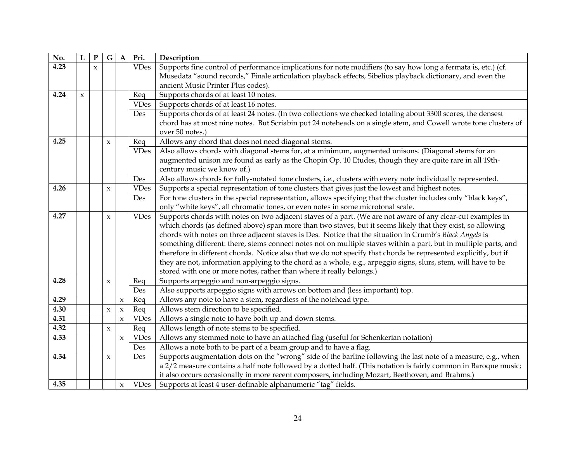| No.  | L           | ${\bf P}$           | $\mathbf G$         | $\mathbf{A}$        | Pri.        | Description                                                                                                      |
|------|-------------|---------------------|---------------------|---------------------|-------------|------------------------------------------------------------------------------------------------------------------|
| 4.23 |             | $\boldsymbol{\chi}$ |                     |                     | <b>VDes</b> | Supports fine control of performance implications for note modifiers (to say how long a fermata is, etc.) (cf.   |
|      |             |                     |                     |                     |             | Musedata "sound records," Finale articulation playback effects, Sibelius playback dictionary, and even the       |
|      |             |                     |                     |                     |             | ancient Music Printer Plus codes).                                                                               |
| 4.24 | $\mathbf x$ |                     |                     |                     | Req         | Supports chords of at least 10 notes.                                                                            |
|      |             |                     |                     |                     | <b>VDes</b> | Supports chords of at least 16 notes.                                                                            |
|      |             |                     |                     |                     | Des         | Supports chords of at least 24 notes. (In two collections we checked totaling about 3300 scores, the densest     |
|      |             |                     |                     |                     |             | chord has at most nine notes. But Scriabin put 24 noteheads on a single stem, and Cowell wrote tone clusters of  |
|      |             |                     |                     |                     |             | over 50 notes.)                                                                                                  |
| 4.25 |             |                     | $\boldsymbol{\chi}$ |                     | Req         | Allows any chord that does not need diagonal stems.                                                              |
|      |             |                     |                     |                     | <b>VDes</b> | Also allows chords with diagonal stems for, at a minimum, augmented unisons. (Diagonal stems for an              |
|      |             |                     |                     |                     |             | augmented unison are found as early as the Chopin Op. 10 Etudes, though they are quite rare in all 19th-         |
|      |             |                     |                     |                     |             | century music we know of.)                                                                                       |
|      |             |                     |                     |                     | Des         | Also allows chords for fully-notated tone clusters, i.e., clusters with every note individually represented.     |
| 4.26 |             |                     | $\boldsymbol{\chi}$ |                     | <b>VDes</b> | Supports a special representation of tone clusters that gives just the lowest and highest notes.                 |
|      |             |                     |                     |                     | Des         | For tone clusters in the special representation, allows specifying that the cluster includes only "black keys",  |
|      |             |                     |                     |                     |             | only "white keys", all chromatic tones, or even notes in some microtonal scale.                                  |
| 4.27 |             |                     | $\boldsymbol{\chi}$ |                     | <b>VDes</b> | Supports chords with notes on two adjacent staves of a part. (We are not aware of any clear-cut examples in      |
|      |             |                     |                     |                     |             | which chords (as defined above) span more than two staves, but it seems likely that they exist, so allowing      |
|      |             |                     |                     |                     |             | chords with notes on three adjacent staves is Des. Notice that the situation in Crumb's Black Angels is          |
|      |             |                     |                     |                     |             | something different: there, stems connect notes not on multiple staves within a part, but in multiple parts, and |
|      |             |                     |                     |                     |             | therefore in different chords. Notice also that we do not specify that chords be represented explicitly, but if  |
|      |             |                     |                     |                     |             | they are not, information applying to the chord as a whole, e.g., arpeggio signs, slurs, stem, will have to be   |
|      |             |                     |                     |                     |             | stored with one or more notes, rather than where it really belongs.)                                             |
| 4.28 |             |                     | $\mathbf{x}$        |                     | Req         | Supports arpeggio and non-arpeggio signs.                                                                        |
|      |             |                     |                     |                     | Des         | Also supports arpeggio signs with arrows on bottom and (less important) top.                                     |
| 4.29 |             |                     |                     | $\mathsf x$         | Req         | Allows any note to have a stem, regardless of the notehead type.                                                 |
| 4.30 |             |                     | $\boldsymbol{\chi}$ | $\boldsymbol{\chi}$ | Req         | Allows stem direction to be specified.                                                                           |
| 4.31 |             |                     |                     | $\boldsymbol{\chi}$ | <b>VDes</b> | Allows a single note to have both up and down stems.                                                             |
| 4.32 |             |                     | $\boldsymbol{\chi}$ |                     | Req         | Allows length of note stems to be specified.                                                                     |
| 4.33 |             |                     |                     | $\pmb{\chi}$        | <b>VDes</b> | Allows any stemmed note to have an attached flag (useful for Schenkerian notation)                               |
|      |             |                     |                     |                     | Des         | Allows a note both to be part of a beam group and to have a flag.                                                |
| 4.34 |             |                     | $\boldsymbol{\chi}$ |                     | Des         | Supports augmentation dots on the "wrong" side of the barline following the last note of a measure, e.g., when   |
|      |             |                     |                     |                     |             | a 2/2 measure contains a half note followed by a dotted half. (This notation is fairly common in Baroque music;  |
|      |             |                     |                     |                     |             | it also occurs occasionally in more recent composers, including Mozart, Beethoven, and Brahms.)                  |
| 4.35 |             |                     |                     | $\boldsymbol{\chi}$ | <b>VDes</b> | Supports at least 4 user-definable alphanumeric "tag" fields.                                                    |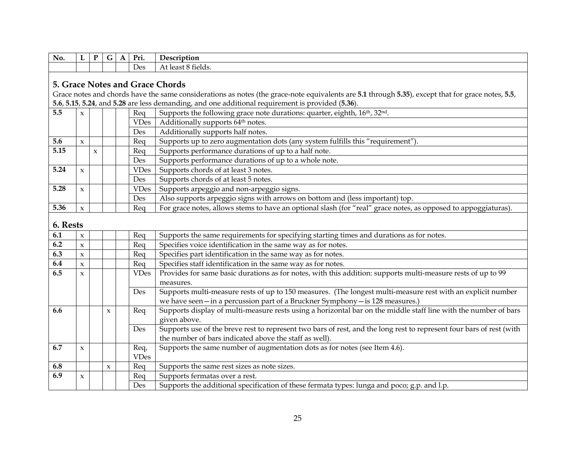| No.      | L                               | ${\bf P}$    | G            | $\mathbf A$ | Pri.        | Description                                                                                                                                       |  |  |
|----------|---------------------------------|--------------|--------------|-------------|-------------|---------------------------------------------------------------------------------------------------------------------------------------------------|--|--|
|          |                                 |              |              |             | Des         | At least 8 fields.                                                                                                                                |  |  |
|          | 5. Grace Notes and Grace Chords |              |              |             |             |                                                                                                                                                   |  |  |
|          |                                 |              |              |             |             |                                                                                                                                                   |  |  |
|          |                                 |              |              |             |             | Grace notes and chords have the same considerations as notes (the grace-note equivalents are 5.1 through 5.35), except that for grace notes, 5.5, |  |  |
|          |                                 |              |              |             |             | 5.6, 5.15, 5.24, and 5.28 are less demanding, and one additional requirement is provided (5.36).                                                  |  |  |
| 5.5      | $\boldsymbol{\chi}$             |              |              |             | Req         | Supports the following grace note durations: quarter, eighth, 16th, 32nd.                                                                         |  |  |
|          |                                 |              |              |             | <b>VDes</b> | Additionally supports 64 <sup>th</sup> notes.                                                                                                     |  |  |
|          |                                 |              |              |             | Des         | Additionally supports half notes.                                                                                                                 |  |  |
| 5.6      | $\boldsymbol{\chi}$             |              |              |             | Req         | Supports up to zero augmentation dots (any system fulfills this "requirement")                                                                    |  |  |
| 5.15     |                                 | $\pmb{\chi}$ |              |             | Req         | Supports performance durations of up to a half note.                                                                                              |  |  |
|          |                                 |              |              |             | Des         | Supports performance durations of up to a whole note.                                                                                             |  |  |
| 5.24     | $\mathbf{x}$                    |              |              |             | <b>VDes</b> | Supports chords of at least 3 notes.                                                                                                              |  |  |
|          |                                 |              |              |             | Des         | Supports chords of at least 5 notes.                                                                                                              |  |  |
| 5.28     | $\pmb{\chi}$                    |              |              |             | <b>VDes</b> | Supports arpeggio and non-arpeggio signs.                                                                                                         |  |  |
|          |                                 |              |              |             | Des         | Also supports arpeggio signs with arrows on bottom and (less important) top.                                                                      |  |  |
| 5.36     | $\mathbf{x}$                    |              |              |             | Req         | For grace notes, allows stems to have an optional slash (for "real" grace notes, as opposed to appoggiaturas).                                    |  |  |
|          |                                 |              |              |             |             |                                                                                                                                                   |  |  |
| 6. Rests |                                 |              |              |             |             |                                                                                                                                                   |  |  |
| 6.1      | $\boldsymbol{\chi}$             |              |              |             | Req         | Supports the same requirements for specifying starting times and durations as for notes.                                                          |  |  |
| 6.2      | $\boldsymbol{\chi}$             |              |              |             | Req         | Specifies voice identification in the same way as for notes.                                                                                      |  |  |
| 6.3      | $\boldsymbol{\chi}$             |              |              |             | Req         | Specifies part identification in the same way as for notes.                                                                                       |  |  |
| 6.4      | $\mathbf{x}$                    |              |              |             | Req         | Specifies staff identification in the same way as for notes.                                                                                      |  |  |
| 6.5      | $\boldsymbol{\chi}$             |              |              |             | <b>VDes</b> | Provides for same basic durations as for notes, with this addition: supports multi-measure rests of up to 99                                      |  |  |
|          |                                 |              |              |             |             | measures.                                                                                                                                         |  |  |
|          |                                 |              |              |             | Des         | Supports multi-measure rests of up to 150 measures. (The longest multi-measure rest with an explicit number                                       |  |  |
|          |                                 |              |              |             |             | we have seen-in a percussion part of a Bruckner Symphony-is 128 measures.)                                                                        |  |  |
| 6.6      |                                 |              | $\pmb{\chi}$ |             | Req         | Supports display of multi-measure rests using a horizontal bar on the middle staff line with the number of bars                                   |  |  |
|          |                                 |              |              |             |             | given above.                                                                                                                                      |  |  |
|          |                                 |              |              |             | Des         | Supports use of the breve rest to represent two bars of rest, and the long rest to represent four bars of rest (with                              |  |  |
|          |                                 |              |              |             |             | the number of bars indicated above the staff as well).                                                                                            |  |  |
| 6.7      | $\boldsymbol{\chi}$             |              |              |             | Req,        | Supports the same number of augmentation dots as for notes (see Item 4.6).                                                                        |  |  |
|          |                                 |              |              |             | <b>VDes</b> |                                                                                                                                                   |  |  |
| 6.8      |                                 |              | $\mathsf X$  |             | Req         | Supports the same rest sizes as note sizes.                                                                                                       |  |  |
| 6.9      | $\pmb{\chi}$                    |              |              |             | Req         | Supports fermatas over a rest.                                                                                                                    |  |  |
|          |                                 |              |              |             | Des         | Supports the additional specification of these fermata types: lunga and poco; g.p. and l.p.                                                       |  |  |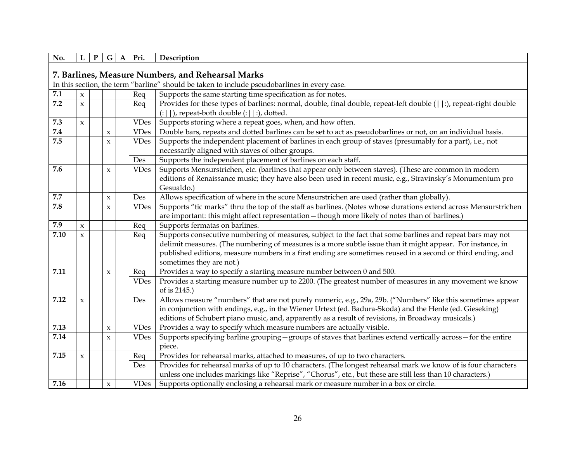| No.     | L                   | ${\bf P}$ | G                   | Pri.<br>$\mathbf A$ | Description                                                                                                       |
|---------|---------------------|-----------|---------------------|---------------------|-------------------------------------------------------------------------------------------------------------------|
|         |                     |           |                     |                     |                                                                                                                   |
|         |                     |           |                     |                     | 7. Barlines, Measure Numbers, and Rehearsal Marks                                                                 |
|         |                     |           |                     |                     | In this section, the term "barline" should be taken to include pseudobarlines in every case.                      |
| $7.1\,$ | $\mathbf{x}$        |           |                     | Req                 | Supports the same starting time specification as for notes.                                                       |
| 7.2     | $\boldsymbol{\chi}$ |           |                     | Req                 | Provides for these types of barlines: normal, double, final double, repeat-left double (  :), repeat-right double |
|         |                     |           |                     |                     | $(:   )$ , repeat-both double $(:   :)$ , dotted.                                                                 |
| 7.3     | $\mathbf{x}$        |           |                     | <b>VDes</b>         | Supports storing where a repeat goes, when, and how often.                                                        |
| 7.4     |                     |           | $\pmb{\chi}$        | <b>VDes</b>         | Double bars, repeats and dotted barlines can be set to act as pseudobarlines or not, on an individual basis.      |
| 7.5     |                     |           | X                   | <b>VDes</b>         | Supports the independent placement of barlines in each group of staves (presumably for a part), i.e., not         |
|         |                     |           |                     |                     | necessarily aligned with staves of other groups.                                                                  |
|         |                     |           |                     | Des                 | Supports the independent placement of barlines on each staff.                                                     |
| 7.6     |                     |           | $\boldsymbol{\chi}$ | <b>VDes</b>         | Supports Mensurstrichen, etc. (barlines that appear only between staves). (These are common in modern             |
|         |                     |           |                     |                     | editions of Renaissance music; they have also been used in recent music, e.g., Stravinsky's Monumentum pro        |
|         |                     |           |                     |                     | Gesualdo.)                                                                                                        |
| 7.7     |                     |           | $\pmb{\chi}$        | Des                 | Allows specification of where in the score Mensurstrichen are used (rather than globally).                        |
| 7.8     |                     |           | $\mathbf{x}$        | <b>VDes</b>         | Supports "tic marks" thru the top of the staff as barlines. (Notes whose durations extend across Mensurstrichen   |
|         |                     |           |                     |                     | are important: this might affect representation - though more likely of notes than of barlines.)                  |
| 7.9     | $\mathbf{x}$        |           |                     | Req                 | Supports fermatas on barlines.                                                                                    |
| 7.10    | $\mathbf{x}$        |           |                     | Req                 | Supports consecutive numbering of measures, subject to the fact that some barlines and repeat bars may not        |
|         |                     |           |                     |                     | delimit measures. (The numbering of measures is a more subtle issue than it might appear. For instance, in        |
|         |                     |           |                     |                     | published editions, measure numbers in a first ending are sometimes reused in a second or third ending, and       |
|         |                     |           |                     |                     | sometimes they are not.)                                                                                          |
| 7.11    |                     |           | X                   | Req                 | Provides a way to specify a starting measure number between 0 and 500.                                            |
|         |                     |           |                     | <b>VDes</b>         | Provides a starting measure number up to 2200. (The greatest number of measures in any movement we know           |
|         |                     |           |                     |                     | of is 2145.)                                                                                                      |
| 7.12    | $\pmb{\chi}$        |           |                     | Des                 | Allows measure "numbers" that are not purely numeric, e.g., 29a, 29b. ("Numbers" like this sometimes appear       |
|         |                     |           |                     |                     | in conjunction with endings, e.g., in the Wiener Urtext (ed. Badura-Skoda) and the Henle (ed. Gieseking)          |
|         |                     |           |                     |                     | editions of Schubert piano music, and, apparently as a result of revisions, in Broadway musicals.)                |
| 7.13    |                     |           | $\pmb{\chi}$        | <b>VDes</b>         | Provides a way to specify which measure numbers are actually visible.                                             |
| 7.14    |                     |           | $\pmb{\chi}$        | <b>VDes</b>         | Supports specifying barline grouping - groups of staves that barlines extend vertically across - for the entire   |
|         |                     |           |                     |                     | piece.                                                                                                            |
| 7.15    | $\mathbf{x}$        |           |                     | Req                 | Provides for rehearsal marks, attached to measures, of up to two characters.                                      |
|         |                     |           |                     | Des                 | Provides for rehearsal marks of up to 10 characters. (The longest rehearsal mark we know of is four characters    |
|         |                     |           |                     |                     | unless one includes markings like "Reprise", "Chorus", etc., but these are still less than 10 characters.)        |
| 7.16    |                     |           | $\boldsymbol{\chi}$ | <b>VDes</b>         | Supports optionally enclosing a rehearsal mark or measure number in a box or circle.                              |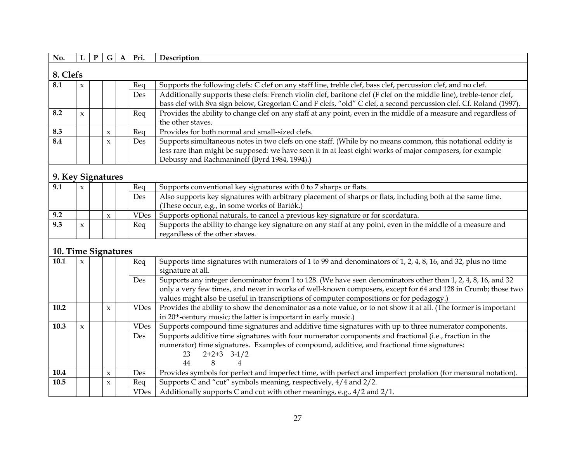| No. |              | P | G.                  |  | Pri. | Description                                                                                                          |  |  |  |  |
|-----|--------------|---|---------------------|--|------|----------------------------------------------------------------------------------------------------------------------|--|--|--|--|
|     | 8. Clefs     |   |                     |  |      |                                                                                                                      |  |  |  |  |
| 8.1 | $\mathbf{x}$ |   |                     |  | Rea  | Supports the following clefs: C clef on any staff line, treble clef, bass clef, percussion clef, and no clef.        |  |  |  |  |
|     |              |   |                     |  | Des  | Additionally supports these clefs: French violin clef, baritone clef (F clef on the middle line), treble-tenor clef, |  |  |  |  |
|     |              |   |                     |  |      | bass clef with 8va sign below, Gregorian C and F clefs, "old" C clef, a second percussion clef. Cf. Roland (1997).   |  |  |  |  |
| 8.2 | $\mathbf{x}$ |   |                     |  | Req  | Provides the ability to change clef on any staff at any point, even in the middle of a measure and regardless of     |  |  |  |  |
|     |              |   |                     |  |      | the other staves.                                                                                                    |  |  |  |  |
| 8.3 |              |   | $\boldsymbol{\chi}$ |  | Reg  | Provides for both normal and small-sized clefs.                                                                      |  |  |  |  |
| 8.4 |              |   | $\mathbf{x}$        |  | Des  | Supports simultaneous notes in two clefs on one staff. (While by no means common, this notational oddity is          |  |  |  |  |
|     |              |   |                     |  |      | less rare than might be supposed: we have seen it in at least eight works of major composers, for example            |  |  |  |  |
|     |              |   |                     |  |      | Debussy and Rachmaninoff (Byrd 1984, 1994).)                                                                         |  |  |  |  |

## **9. Key Signatures**

| 9.1 | $\sim$ |  | Reg         | Supports conventional key signatures with 0 to 7 sharps or flats.                                           |
|-----|--------|--|-------------|-------------------------------------------------------------------------------------------------------------|
|     |        |  | <b>Des</b>  | Also supports key signatures with arbitrary placement of sharps or flats, including both at the same time.  |
|     |        |  |             | (These occur, e.g., in some works of Bartók.)                                                               |
| 9.2 |        |  | <b>VDes</b> | Supports optional naturals, to cancel a previous key signature or for scordatura.                           |
| 9.3 |        |  | Req         | Supports the ability to change key signature on any staff at any point, even in the middle of a measure and |
|     |        |  |             | regardless of the other staves.                                                                             |

## **10. Time Signatures**

|      | 10. THIIL OIGHAILLE |  |   |  |             |                                                                                                                  |  |  |  |  |
|------|---------------------|--|---|--|-------------|------------------------------------------------------------------------------------------------------------------|--|--|--|--|
| 10.1 | $\mathbf{x}$        |  |   |  | Req         | Supports time signatures with numerators of 1 to 99 and denominators of 1, 2, 4, 8, 16, and 32, plus no time     |  |  |  |  |
|      |                     |  |   |  |             | signature at all.                                                                                                |  |  |  |  |
|      |                     |  |   |  | Des         | Supports any integer denominator from 1 to 128. (We have seen denominators other than 1, 2, 4, 8, 16, and 32     |  |  |  |  |
|      |                     |  |   |  |             | only a very few times, and never in works of well-known composers, except for 64 and 128 in Crumb; those two     |  |  |  |  |
|      |                     |  |   |  |             | values might also be useful in transcriptions of computer compositions or for pedagogy.)                         |  |  |  |  |
| 10.2 |                     |  | X |  | <b>VDes</b> | Provides the ability to show the denominator as a note value, or to not show it at all. (The former is important |  |  |  |  |
|      |                     |  |   |  |             | in 20 <sup>th</sup> -century music; the latter is important in early music.)                                     |  |  |  |  |
| 10.3 | X                   |  |   |  | <b>VDes</b> | Supports compound time signatures and additive time signatures with up to three numerator components.            |  |  |  |  |
|      |                     |  |   |  | Des         | Supports additive time signatures with four numerator components and fractional (i.e., fraction in the           |  |  |  |  |
|      |                     |  |   |  |             | numerator) time signatures. Examples of compound, additive, and fractional time signatures:                      |  |  |  |  |
|      |                     |  |   |  |             | $2+2+3$ $3-1/2$<br>23.                                                                                           |  |  |  |  |
|      |                     |  |   |  |             | 44                                                                                                               |  |  |  |  |
| 10.4 |                     |  | X |  | <b>Des</b>  | Provides symbols for perfect and imperfect time, with perfect and imperfect prolation (for mensural notation).   |  |  |  |  |
| 10.5 |                     |  | X |  | Req         | Supports C and "cut" symbols meaning, respectively, 4/4 and 2/2.                                                 |  |  |  |  |
|      |                     |  |   |  | <b>VDes</b> | Additionally supports C and cut with other meanings, e.g., 4/2 and 2/1.                                          |  |  |  |  |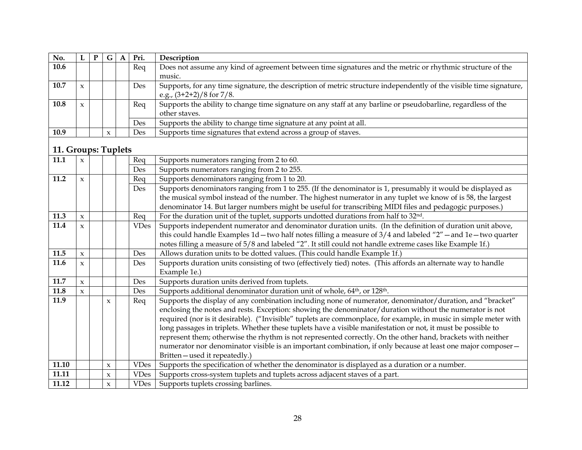| No.  |              | P | G                   | A | Pri.       | Description                                                                                                        |
|------|--------------|---|---------------------|---|------------|--------------------------------------------------------------------------------------------------------------------|
| 10.6 |              |   |                     |   | Req        | Does not assume any kind of agreement between time signatures and the metric or rhythmic structure of the          |
|      |              |   |                     |   |            | music.                                                                                                             |
| 10.7 | X            |   |                     |   | <b>Des</b> | Supports, for any time signature, the description of metric structure independently of the visible time signature, |
|      |              |   |                     |   |            | e.g., $(3+2+2)/8$ for 7/8.                                                                                         |
| 10.8 | $\mathbf{x}$ |   |                     |   | Req        | Supports the ability to change time signature on any staff at any barline or pseudobarline, regardless of the      |
|      |              |   |                     |   |            | other staves.                                                                                                      |
|      |              |   |                     |   | Des        | Supports the ability to change time signature at any point at all.                                                 |
| 10.9 |              |   | $\boldsymbol{\chi}$ |   | Des        | Supports time signatures that extend across a group of staves.                                                     |

## **11. Groups: Tuplets**

| 11.1  | $\mathbf x$         |                     | Req         | Supports numerators ranging from 2 to 60.                                                                        |
|-------|---------------------|---------------------|-------------|------------------------------------------------------------------------------------------------------------------|
|       |                     |                     | Des         | Supports numerators ranging from 2 to 255.                                                                       |
| 11.2  | $\mathbf{x}$        |                     | Req         | Supports denominators ranging from 1 to 20.                                                                      |
|       |                     |                     | Des         | Supports denominators ranging from 1 to 255. (If the denominator is 1, presumably it would be displayed as       |
|       |                     |                     |             | the musical symbol instead of the number. The highest numerator in any tuplet we know of is 58, the largest      |
|       |                     |                     |             | denominator 14. But larger numbers might be useful for transcribing MIDI files and pedagogic purposes.)          |
| 11.3  | $\mathbf{x}$        |                     | Req         | For the duration unit of the tuplet, supports undotted durations from half to 32 <sup>nd</sup> .                 |
| 11.4  |                     |                     |             |                                                                                                                  |
|       | $\boldsymbol{\chi}$ |                     | <b>VDes</b> | Supports independent numerator and denominator duration units. (In the definition of duration unit above,        |
|       |                     |                     |             | this could handle Examples 1d - two half notes filling a measure of 3/4 and labeled "2" - and 1e - two quarter   |
|       |                     |                     |             | notes filling a measure of 5/8 and labeled "2". It still could not handle extreme cases like Example 1f.)        |
| 11.5  | $\mathbf{x}$        |                     | Des         | Allows duration units to be dotted values. (This could handle Example 1f.)                                       |
| 11.6  | $\boldsymbol{\chi}$ |                     | Des         | Supports duration units consisting of two (effectively tied) notes. (This affords an alternate way to handle     |
|       |                     |                     |             | Example 1e.)                                                                                                     |
| 11.7  | $\mathbf{x}$        |                     | Des         | Supports duration units derived from tuplets.                                                                    |
| 11.8  | $\mathbf{x}$        |                     | Des         | Supports additional denominator duration unit of whole, 64 <sup>th</sup> , or 128 <sup>th</sup> .                |
| 11.9  |                     | $\mathbf{x}$        | Req         | Supports the display of any combination including none of numerator, denominator/duration, and "bracket"         |
|       |                     |                     |             | enclosing the notes and rests. Exception: showing the denominator/duration without the numerator is not          |
|       |                     |                     |             | required (nor is it desirable). ("Invisible" tuplets are commonplace, for example, in music in simple meter with |
|       |                     |                     |             | long passages in triplets. Whether these tuplets have a visible manifestation or not, it must be possible to     |
|       |                     |                     |             | represent them; otherwise the rhythm is not represented correctly. On the other hand, brackets with neither      |
|       |                     |                     |             | numerator nor denominator visible is an important combination, if only because at least one major composer -     |
|       |                     |                     |             | Britten-used it repeatedly.)                                                                                     |
| 11.10 |                     | $\mathbf{x}$        | <b>VDes</b> | Supports the specification of whether the denominator is displayed as a duration or a number.                    |
| 11.11 |                     | $\boldsymbol{\chi}$ | <b>VDes</b> | Supports cross-system tuplets and tuplets across adjacent staves of a part.                                      |
| 11.12 |                     | $\mathbf{x}$        | <b>VDes</b> | Supports tuplets crossing barlines.                                                                              |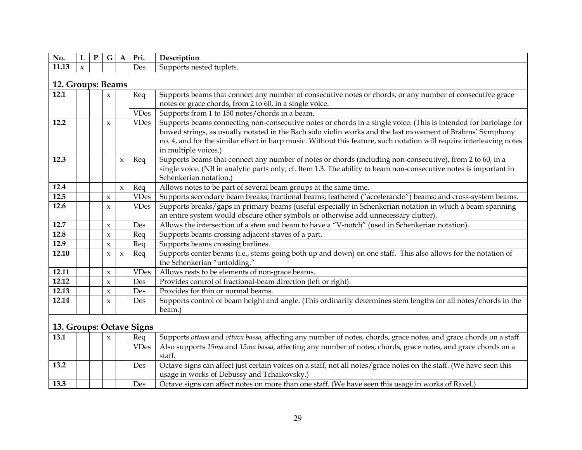| No.               | L            | ${\bf P}$ | G                   | $\mathbf{A}$        | Pri.                     | Description                                                                                                                                   |
|-------------------|--------------|-----------|---------------------|---------------------|--------------------------|-----------------------------------------------------------------------------------------------------------------------------------------------|
| 11.13             | $\mathbf{x}$ |           |                     |                     | Des                      | Supports nested tuplets.                                                                                                                      |
| 12. Groups: Beams |              |           |                     |                     |                          |                                                                                                                                               |
| 12.1              |              |           | $\mathbf{x}$        |                     | Req                      | Supports beams that connect any number of consecutive notes or chords, or any number of consecutive grace                                     |
|                   |              |           |                     |                     |                          | notes or grace chords, from 2 to 60, in a single voice.                                                                                       |
|                   |              |           |                     |                     | <b>VDes</b>              | Supports from 1 to 150 notes/chords in a beam.                                                                                                |
| 12.2              |              |           | $\boldsymbol{\chi}$ |                     | <b>VDes</b>              | Supports beams connecting non-consecutive notes or chords in a single voice. (This is intended for bariolage for                              |
|                   |              |           |                     |                     |                          | bowed strings, as usually notated in the Bach solo violin works and the last movement of Brahms' Symphony                                     |
|                   |              |           |                     |                     |                          | no. 4, and for the similar effect in harp music. Without this feature, such notation will require interleaving notes                          |
|                   |              |           |                     |                     |                          | in multiple voices.)                                                                                                                          |
| 12.3              |              |           |                     | $\mathbf x$         | Req                      | Supports beams that connect any number of notes or chords (including non-consecutive), from 2 to 60, in a                                     |
|                   |              |           |                     |                     |                          | single voice. (NB in analytic parts only; cf. Item 1.3. The ability to beam non-consecutive notes is important in                             |
|                   |              |           |                     |                     |                          | Schenkerian notation.)                                                                                                                        |
| 12.4              |              |           |                     | $\pmb{\chi}$        | Req                      | Allows notes to be part of several beam groups at the same time.                                                                              |
| 12.5              |              |           | $\pmb{\chi}$        |                     | <b>VDes</b>              | Supports secondary beam breaks; fractional beams; feathered ("accelerando") beams; and cross-system beams.                                    |
| 12.6              |              |           | $\mathbf{x}$        |                     | <b>VDes</b>              | Supports breaks/gaps in primary beams (useful especially in Schenkerian notation in which a beam spanning                                     |
|                   |              |           |                     |                     |                          | an entire system would obscure other symbols or otherwise add unnecessary clutter).                                                           |
| 12.7              |              |           | $\boldsymbol{\chi}$ |                     | Des                      | Allows the intersection of a stem and beam to have a "V-notch" (used in Schenkerian notation).                                                |
| 12.8              |              |           | $\boldsymbol{\chi}$ |                     | Reg                      | Supports beams crossing adjacent staves of a part.                                                                                            |
| 12.9              |              |           | $\mathbf{x}$        |                     | Req                      | Supports beams crossing barlines.                                                                                                             |
| 12.10             |              |           | $\boldsymbol{\chi}$ | $\boldsymbol{\chi}$ | Req                      | Supports center beams (i.e., stems going both up and down) on one staff. This also allows for the notation of<br>the Schenkerian "unfolding." |
| 12.11             |              |           | $\boldsymbol{\chi}$ |                     | <b>VDes</b>              | Allows rests to be elements of non-grace beams.                                                                                               |
| 12.12             |              |           | $\boldsymbol{\chi}$ |                     | Des                      | Provides control of fractional-beam direction (left or right).                                                                                |
| 12.13             |              |           | $\mathbf{x}$        |                     | Des                      | Provides for thin or normal beams.                                                                                                            |
| 12.14             |              |           | $\pmb{\chi}$        |                     | Des                      | Supports control of beam height and angle. (This ordinarily determines stem lengths for all notes/chords in the                               |
|                   |              |           |                     |                     |                          | beam.)                                                                                                                                        |
|                   |              |           |                     |                     | 13. Groups: Octave Signs |                                                                                                                                               |
| 13.1              |              |           | $\mathbf{x}$        |                     | Req                      | Supports ottava and ottava bassa, affecting any number of notes, chords, grace notes, and grace chords on a staff.                            |
|                   |              |           |                     |                     | <b>VDes</b>              | Also supports 15ma and 15ma bassa, affecting any number of notes, chords, grace notes, and grace chords on a<br>staff.                        |
|                   |              |           |                     |                     |                          |                                                                                                                                               |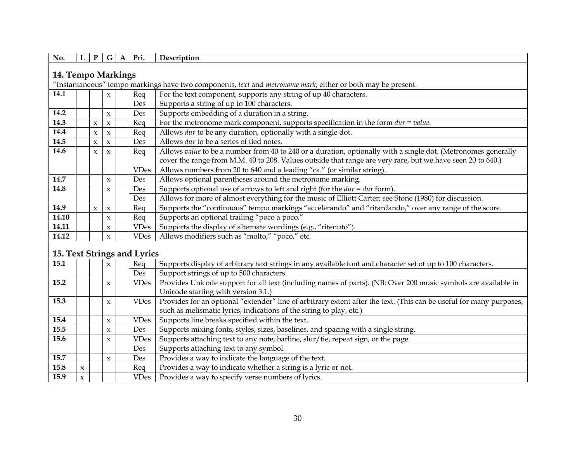| No.   | L                  | ${\bf P}$           | G                   | $\mathbf{A}$ | Pri.                        | Description                                                                                                                                                                       |  |  |  |
|-------|--------------------|---------------------|---------------------|--------------|-----------------------------|-----------------------------------------------------------------------------------------------------------------------------------------------------------------------------------|--|--|--|
|       |                    |                     |                     |              |                             |                                                                                                                                                                                   |  |  |  |
|       | 14. Tempo Markings |                     |                     |              |                             |                                                                                                                                                                                   |  |  |  |
|       |                    |                     |                     |              |                             | "Instantaneous" tempo markings have two components, text and metronome mark; either or both may be present.                                                                       |  |  |  |
| 14.1  |                    |                     | x                   |              | Req                         | For the text component, supports any string of up 40 characters.                                                                                                                  |  |  |  |
|       |                    |                     |                     |              | Des                         | Supports a string of up to 100 characters.                                                                                                                                        |  |  |  |
| 14.2  |                    |                     | $\pmb{\chi}$        |              | Des                         | Supports embedding of a duration in a string.                                                                                                                                     |  |  |  |
| 14.3  |                    | $\pmb{\chi}$        | $\boldsymbol{\chi}$ |              | Req                         | For the metronome mark component, supports specification in the form $dur = value$ .                                                                                              |  |  |  |
| 14.4  |                    | $\pmb{\chi}$        | $\boldsymbol{\chi}$ |              | Req                         | Allows dur to be any duration, optionally with a single dot.                                                                                                                      |  |  |  |
| 14.5  |                    | $\pmb{\chi}$        | $\boldsymbol{\chi}$ |              | Des                         | Allows dur to be a series of tied notes.                                                                                                                                          |  |  |  |
| 14.6  |                    | $\boldsymbol{\chi}$ | $\boldsymbol{\chi}$ |              | Req                         | Allows value to be a number from 40 to 240 or a duration, optionally with a single dot. (Metronomes generally                                                                     |  |  |  |
|       |                    |                     |                     |              |                             | cover the range from M.M. 40 to 208. Values outside that range are very rare, but we have seen 20 to 640.)                                                                        |  |  |  |
|       |                    |                     |                     |              | <b>VDes</b>                 | Allows numbers from 20 to 640 and a leading "ca." (or similar string).                                                                                                            |  |  |  |
| 14.7  |                    |                     | $\boldsymbol{\chi}$ |              | Des                         | Allows optional parentheses around the metronome marking.                                                                                                                         |  |  |  |
| 14.8  |                    |                     | $\boldsymbol{\chi}$ |              | Des                         | Supports optional use of arrows to left and right (for the $dur = dur$ form).                                                                                                     |  |  |  |
|       |                    |                     |                     |              | Des                         | Allows for more of almost everything for the music of Elliott Carter; see Stone (1980) for discussion.                                                                            |  |  |  |
| 14.9  |                    | $\mathbf{x}$        | $\pmb{\chi}$        |              | Req                         | Supports the "continuous" tempo markings "accelerando" and "ritardando," over any range of the score.                                                                             |  |  |  |
| 14.10 |                    |                     | $\boldsymbol{\chi}$ |              | Req                         | Supports an optional trailing "poco a poco."                                                                                                                                      |  |  |  |
| 14.11 |                    |                     | $\boldsymbol{\chi}$ |              | <b>VDes</b>                 | Supports the display of alternate wordings (e.g., "ritenuto").                                                                                                                    |  |  |  |
| 14.12 |                    |                     | $\boldsymbol{\chi}$ |              | <b>VDes</b>                 | Allows modifiers such as "molto," "poco," etc.                                                                                                                                    |  |  |  |
|       |                    |                     |                     |              |                             |                                                                                                                                                                                   |  |  |  |
|       |                    |                     |                     |              | 15. Text Strings and Lyrics |                                                                                                                                                                                   |  |  |  |
| 15.1  |                    |                     | $\boldsymbol{\chi}$ |              | Req                         | Supports display of arbitrary text strings in any available font and character set of up to 100 characters.                                                                       |  |  |  |
|       |                    |                     |                     |              | Des                         | Support strings of up to 500 characters.                                                                                                                                          |  |  |  |
| 15.2  |                    |                     | $\pmb{\chi}$        |              | <b>VDes</b>                 | Provides Unicode support for all text (including names of parts). (NB: Over 200 music symbols are available in                                                                    |  |  |  |
|       |                    |                     |                     |              |                             | Unicode starting with version 3.1.)                                                                                                                                               |  |  |  |
| 15.3  |                    |                     | $\boldsymbol{\chi}$ |              | <b>VDes</b>                 | Provides for an optional "extender" line of arbitrary extent after the text. (This can be useful for many purposes,                                                               |  |  |  |
|       |                    |                     |                     |              |                             | such as melismatic lyrics, indications of the string to play, etc.)                                                                                                               |  |  |  |
| 15.4  |                    |                     | $\pmb{\chi}$        |              | <b>VDes</b>                 | Supports line breaks specified within the text.                                                                                                                                   |  |  |  |
| 4.5.5 |                    |                     |                     |              | $\mathbf{D}$                | $\sigma$ and $\sigma$ and $\sigma$ and $\sigma$ and $\sigma$ and $\sigma$ and $\sigma$ and $\sigma$ and $\sigma$ and $\sigma$ and $\sigma$ and $\sigma$ and $\sigma$ and $\sigma$ |  |  |  |

| 15.5 |                      | $\boldsymbol{\chi}$ | Des         | Supports mixing fonts, styles, sizes, baselines, and spacing with a single string. |
|------|----------------------|---------------------|-------------|------------------------------------------------------------------------------------|
| 15.6 |                      | $\boldsymbol{\chi}$ | <b>VDes</b> | Supports attaching text to any note, barline, slur/tie, repeat sign, or the page.  |
|      |                      |                     | Des         | Supports attaching text to any symbol.                                             |
| 15.7 |                      | $\boldsymbol{\chi}$ | Des         | Provides a way to indicate the language of the text.                               |
| 15.8 | $\ddot{\phantom{0}}$ |                     | Rea         | Provides a way to indicate whether a string is a lyric or not.                     |
| 15.9 | $\lambda$            |                     | VDes 1      | Provides a way to specify verse numbers of lyrics.                                 |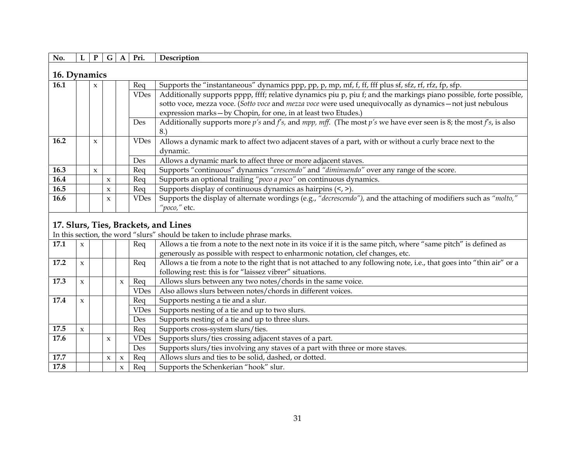| No.          |  | P                   | G            | A | Pri.        | Description                                                                                                                      |  |  |
|--------------|--|---------------------|--------------|---|-------------|----------------------------------------------------------------------------------------------------------------------------------|--|--|
| 16. Dynamics |  |                     |              |   |             |                                                                                                                                  |  |  |
| <b>16.1</b>  |  | $\mathbf{x}$        |              |   | Req         | Supports the "instantaneous" dynamics ppp, pp, p, mp, mf, f, ff, fff plus sf, sfz, rf, rfz, fp, sfp.                             |  |  |
|              |  |                     |              |   | <b>VDes</b> | Additionally supports pppp, ffff; relative dynamics piu p, piu f; and the markings piano possible, forte possible,               |  |  |
|              |  |                     |              |   |             | sotto voce, mezza voce. (Sotto voce and mezza voce were used unequivocally as dynamics - not just nebulous                       |  |  |
|              |  |                     |              |   |             | expression marks - by Chopin, for one, in at least two Etudes.)                                                                  |  |  |
|              |  |                     |              |   | <b>Des</b>  | Additionally supports more $p'$ s and $fs$ , and $mpp$ , $mff$ . (The most $p's$ we have ever seen is 8; the most $fs$ , is also |  |  |
|              |  |                     |              |   |             | 8.                                                                                                                               |  |  |
| 16.2         |  | $\boldsymbol{\chi}$ |              |   | VDes        | Allows a dynamic mark to affect two adjacent staves of a part, with or without a curly brace next to the                         |  |  |
|              |  |                     |              |   |             | dynamic.                                                                                                                         |  |  |
|              |  |                     |              |   | Des         | Allows a dynamic mark to affect three or more adjacent staves.                                                                   |  |  |
| 16.3         |  | $\mathbf{x}$        |              |   | Req         | Supports "continuous" dynamics "crescendo" and "diminuendo" over any range of the score.                                         |  |  |
| 16.4         |  |                     | $\mathbf{x}$ |   | Req         | Supports an optional trailing "poco a poco" on continuous dynamics.                                                              |  |  |
| 16.5         |  |                     | X            |   | Req         | Supports display of continuous dynamics as hairpins $\left\langle \langle \rangle \right\rangle$ .                               |  |  |
| 16.6         |  |                     | $\mathbf{x}$ |   | <b>VDes</b> | Supports the display of alternate wordings (e.g., "decrescendo"), and the attaching of modifiers such as "molto,"                |  |  |
|              |  |                     |              |   |             | "poco," etc.                                                                                                                     |  |  |

#### **17. Slurs, Ties, Brackets, and Lines**

In this section, the word "slurs" should be taken to include phrase marks.

| 17.1 | $\mathbf{x}$        |   |                     | Req         | Allows a tie from a note to the next note in its voice if it is the same pitch, where "same pitch" is defined as       |
|------|---------------------|---|---------------------|-------------|------------------------------------------------------------------------------------------------------------------------|
|      |                     |   |                     |             | generously as possible with respect to enharmonic notation, clef changes, etc.                                         |
| 17.2 | $\mathbf{x}$        |   |                     | Req         | Allows a tie from a note to the right that is not attached to any following note, i.e., that goes into "thin air" or a |
|      |                     |   |                     |             | following rest: this is for "laissez vibrer" situations.                                                               |
| 17.3 | $\mathbf{x}$        |   | $\mathbf{x}$        | Req         | Allows slurs between any two notes/chords in the same voice.                                                           |
|      |                     |   |                     | <b>VDes</b> | Also allows slurs between notes/chords in different voices.                                                            |
| 17.4 | $\mathbf{x}$        |   |                     | Req         | Supports nesting a tie and a slur.                                                                                     |
|      |                     |   |                     | <b>VDes</b> | Supports nesting of a tie and up to two slurs.                                                                         |
|      |                     |   |                     | Des         | Supports nesting of a tie and up to three slurs.                                                                       |
| 17.5 | $\boldsymbol{\chi}$ |   |                     | Req         | Supports cross-system slurs/ties.                                                                                      |
| 17.6 |                     | X |                     | <b>VDes</b> | Supports slurs/ties crossing adjacent staves of a part.                                                                |
|      |                     |   |                     | Des         | Supports slurs/ties involving any staves of a part with three or more staves.                                          |
| 17.7 |                     | X | $\boldsymbol{\chi}$ | Req         | Allows slurs and ties to be solid, dashed, or dotted.                                                                  |
| 17.8 |                     |   | $\boldsymbol{\chi}$ | Req         | Supports the Schenkerian "hook" slur.                                                                                  |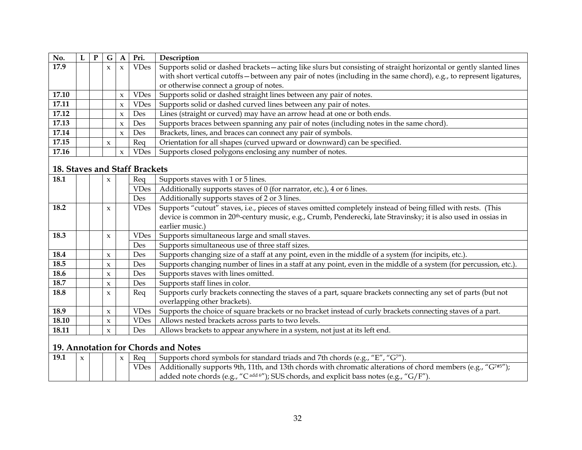| No.   | $\mathbf{P}$ | G                   | A                   | Pri.        | Description                                                                                                        |
|-------|--------------|---------------------|---------------------|-------------|--------------------------------------------------------------------------------------------------------------------|
| 17.9  |              | $\mathbf x$         | $\boldsymbol{\chi}$ | <b>VDes</b> | Supports solid or dashed brackets—acting like slurs but consisting of straight horizontal or gently slanted lines  |
|       |              |                     |                     |             | with short vertical cutoffs—between any pair of notes (including in the same chord), e.g., to represent ligatures, |
|       |              |                     |                     |             | or otherwise connect a group of notes.                                                                             |
| 17.10 |              |                     | $\boldsymbol{\chi}$ | <b>VDes</b> | Supports solid or dashed straight lines between any pair of notes.                                                 |
| 17.11 |              |                     | $\boldsymbol{\chi}$ | <b>VDes</b> | Supports solid or dashed curved lines between any pair of notes.                                                   |
| 17.12 |              |                     | $\boldsymbol{\chi}$ | <b>Des</b>  | Lines (straight or curved) may have an arrow head at one or both ends.                                             |
| 17.13 |              |                     | $\boldsymbol{\chi}$ | <b>Des</b>  | Supports braces between spanning any pair of notes (including notes in the same chord).                            |
| 17.14 |              |                     | $\boldsymbol{\chi}$ | Des         | Brackets, lines, and braces can connect any pair of symbols.                                                       |
| 17.15 |              | $\boldsymbol{\chi}$ |                     | Req         | Orientation for all shapes (curved upward or downward) can be specified.                                           |
| 17.16 |              |                     | $\boldsymbol{\chi}$ | <b>VDes</b> | Supports closed polygons enclosing any number of notes.                                                            |

#### **18. Staves and Staff Brackets**

| 18.1  |  | $\boldsymbol{\chi}$ | Req         | Supports staves with 1 or 5 lines.                                                                                          |
|-------|--|---------------------|-------------|-----------------------------------------------------------------------------------------------------------------------------|
|       |  |                     | <b>VDes</b> | Additionally supports staves of 0 (for narrator, etc.), 4 or 6 lines.                                                       |
|       |  |                     | Des         | Additionally supports staves of 2 or 3 lines.                                                                               |
| 18.2  |  | $\boldsymbol{\chi}$ | <b>VDes</b> | Supports "cutout" staves, i.e., pieces of staves omitted completely instead of being filled with rests. (This               |
|       |  |                     |             | device is common in 20 <sup>th</sup> -century music, e.g., Crumb, Penderecki, late Stravinsky; it is also used in ossias in |
|       |  |                     |             | earlier music.)                                                                                                             |
| 18.3  |  | $\boldsymbol{\chi}$ | <b>VDes</b> | Supports simultaneous large and small staves.                                                                               |
|       |  |                     | Des         | Supports simultaneous use of three staff sizes.                                                                             |
| 18.4  |  | $\boldsymbol{\chi}$ | Des         | Supports changing size of a staff at any point, even in the middle of a system (for incipits, etc.).                        |
| 18.5  |  | $\boldsymbol{\chi}$ | <b>Des</b>  | Supports changing number of lines in a staff at any point, even in the middle of a system (for percussion, etc.).           |
| 18.6  |  | $\boldsymbol{\chi}$ | Des         | Supports staves with lines omitted.                                                                                         |
| 18.7  |  | $\boldsymbol{\chi}$ | Des         | Supports staff lines in color.                                                                                              |
| 18.8  |  | $\boldsymbol{\chi}$ | Req         | Supports curly brackets connecting the staves of a part, square brackets connecting any set of parts (but not               |
|       |  |                     |             | overlapping other brackets).                                                                                                |
| 18.9  |  | $\boldsymbol{\chi}$ | <b>VDes</b> | Supports the choice of square brackets or no bracket instead of curly brackets connecting staves of a part.                 |
| 18.10 |  | $\boldsymbol{\chi}$ | <b>VDes</b> | Allows nested brackets across parts to two levels.                                                                          |
| 18.11 |  | $\boldsymbol{\chi}$ | <b>Des</b>  | Allows brackets to appear anywhere in a system, not just at its left end.                                                   |

## **19. Annotation for Chords and Notes**

| 19.1 |  |  | Rea | Supports chord symbols for standard triads and 7th chords (e.g., " $E''$ , " $G^{7''}$ ).                                  |
|------|--|--|-----|----------------------------------------------------------------------------------------------------------------------------|
|      |  |  |     | VDes   Additionally supports 9th, 11th, and 13th chords with chromatic alterations of chord members (e.g., " $G^{7+5}$ "); |
|      |  |  |     | added note chords (e.g., "C <sup>add6"</sup> ); SUS chords, and explicit bass notes (e.g., "G/F").                         |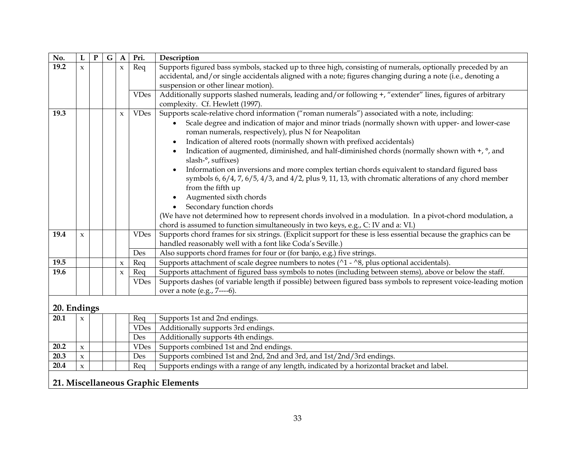| No.         | L            | ${\bf P}$ | $\overline{G}$ | $\mathbf{A}$        | Pri.        | Description                                                                                                                                                                   |
|-------------|--------------|-----------|----------------|---------------------|-------------|-------------------------------------------------------------------------------------------------------------------------------------------------------------------------------|
| 19.2        | $\mathbf x$  |           |                | $\boldsymbol{\chi}$ | Req         | Supports figured bass symbols, stacked up to three high, consisting of numerals, optionally preceded by an                                                                    |
|             |              |           |                |                     |             | accidental, and/or single accidentals aligned with a note; figures changing during a note (i.e., denoting a                                                                   |
|             |              |           |                |                     |             | suspension or other linear motion).                                                                                                                                           |
|             |              |           |                |                     | <b>VDes</b> | Additionally supports slashed numerals, leading and/or following +, "extender" lines, figures of arbitrary                                                                    |
|             |              |           |                |                     |             | complexity. Cf. Hewlett (1997).                                                                                                                                               |
| 19.3        |              |           |                | $\mathbf{x}$        | <b>VDes</b> | Supports scale-relative chord information ("roman numerals") associated with a note, including:                                                                               |
|             |              |           |                |                     |             | Scale degree and indication of major and minor triads (normally shown with upper- and lower-case                                                                              |
|             |              |           |                |                     |             | roman numerals, respectively), plus N for Neapolitan                                                                                                                          |
|             |              |           |                |                     |             | Indication of altered roots (normally shown with prefixed accidentals)<br>$\bullet$                                                                                           |
|             |              |           |                |                     |             | Indication of augmented, diminished, and half-diminished chords (normally shown with +, °, and<br>$\bullet$<br>slash-°, suffixes)                                             |
|             |              |           |                |                     |             | Information on inversions and more complex tertian chords equivalent to standard figured bass<br>$\bullet$                                                                    |
|             |              |           |                |                     |             | symbols 6, $6/4$ , 7, $6/5$ , $4/3$ , and $4/2$ , plus 9, 11, 13, with chromatic alterations of any chord member                                                              |
|             |              |           |                |                     |             | from the fifth up                                                                                                                                                             |
|             |              |           |                |                     |             | Augmented sixth chords<br>$\bullet$                                                                                                                                           |
|             |              |           |                |                     |             | Secondary function chords                                                                                                                                                     |
|             |              |           |                |                     |             | (We have not determined how to represent chords involved in a modulation. In a pivot-chord modulation, a                                                                      |
|             |              |           |                |                     |             |                                                                                                                                                                               |
| 19.4        |              |           |                |                     | <b>VDes</b> | chord is assumed to function simultaneously in two keys, e.g., C: IV and a: VI.)                                                                                              |
|             | $\pmb{\chi}$ |           |                |                     |             | Supports chord frames for six strings. (Explicit support for these is less essential because the graphics can be<br>handled reasonably well with a font like Coda's Seville.) |
|             |              |           |                |                     | Des         | Also supports chord frames for four or (for banjo, e.g.) five strings.                                                                                                        |
| 19.5        |              |           |                | $\boldsymbol{\chi}$ | Req         | Supports attachment of scale degree numbers to notes ( $\gamma$ 1 - $\gamma$ 8, plus optional accidentals).                                                                   |
| 19.6        |              |           |                | $\pmb{\chi}$        | Req         | Supports attachment of figured bass symbols to notes (including between stems), above or below the staff.                                                                     |
|             |              |           |                |                     | <b>VDes</b> | Supports dashes (of variable length if possible) between figured bass symbols to represent voice-leading motion                                                               |
|             |              |           |                |                     |             | over a note (e.g., 7----6).                                                                                                                                                   |
|             |              |           |                |                     |             |                                                                                                                                                                               |
| 20. Endings |              |           |                |                     |             |                                                                                                                                                                               |
| 20.1        | $\mathbf{x}$ |           |                |                     | Req         | Supports 1st and 2nd endings.                                                                                                                                                 |
|             |              |           |                |                     | <b>VDes</b> | Additionally supports 3rd endings.                                                                                                                                            |
|             |              |           |                |                     | Des         | Additionally supports 4th endings.                                                                                                                                            |

| 20.3 |  | Des | Supports combined 1st and 2nd, 2nd and 3rd, and 1st/2nd/3rd endings.                      |
|------|--|-----|-------------------------------------------------------------------------------------------|
| 20.4 |  | Req | Supports endings with a range of any length, indicated by a horizontal bracket and label. |

## **21. Miscellaneous Graphic Elements**

**20.2**  $x \mid x$   $\mid \cdot \cdot \cdot$  VDes Supports combined 1st and 2nd endings.